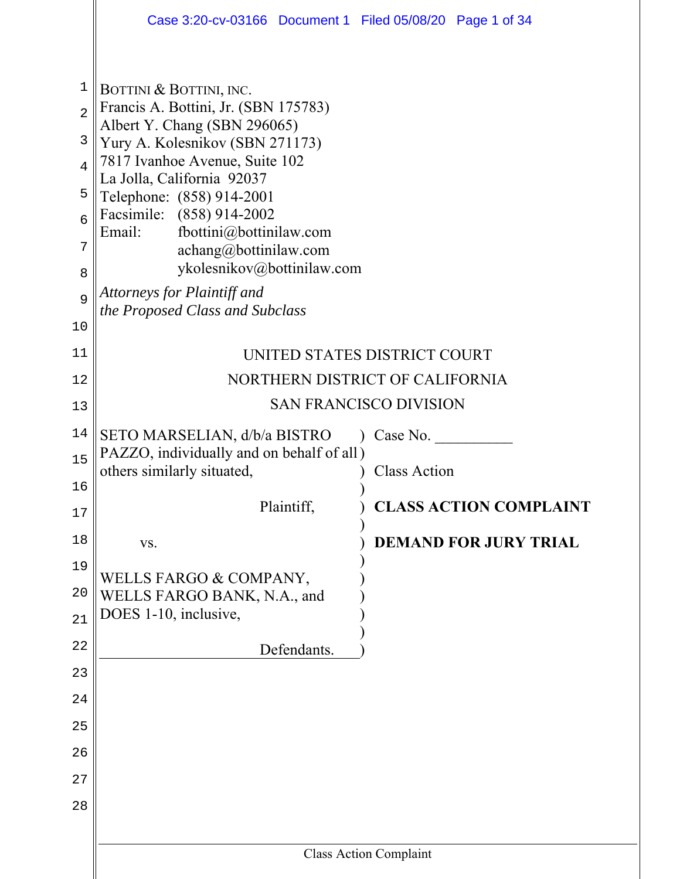|                | Case 3:20-cv-03166 Document 1 Filed 05/08/20 Page 1 of 34               |                                 |
|----------------|-------------------------------------------------------------------------|---------------------------------|
|                |                                                                         |                                 |
| $\mathbf{1}$   | BOTTINI & BOTTINI, INC.                                                 |                                 |
| $\overline{2}$ | Francis A. Bottini, Jr. (SBN 175783)<br>Albert Y. Chang (SBN 296065)    |                                 |
| 3              | Yury A. Kolesnikov (SBN 271173)                                         |                                 |
| $\overline{4}$ | 7817 Ivanhoe Avenue, Suite 102<br>La Jolla, California 92037            |                                 |
| 5              | Telephone: (858) 914-2001                                               |                                 |
| 6              | Facsimile: (858) 914-2002<br>fbottini@bottinilaw.com<br>Email:          |                                 |
| 7              | achang@bottinilaw.com                                                   |                                 |
| 8              | ykolesnikov@bottinilaw.com                                              |                                 |
| 9              | Attorneys for Plaintiff and<br>the Proposed Class and Subclass          |                                 |
| 10             |                                                                         |                                 |
| 11             |                                                                         | UNITED STATES DISTRICT COURT    |
| 12             |                                                                         | NORTHERN DISTRICT OF CALIFORNIA |
| 13             |                                                                         | <b>SAN FRANCISCO DIVISION</b>   |
| 14             | SETO MARSELIAN, d/b/a BISTRO                                            | Case No.                        |
| 15             | PAZZO, individually and on behalf of all)<br>others similarly situated, | <b>Class Action</b>             |
| 16             | Plaintiff,                                                              | <b>CLASS ACTION COMPLAINT</b>   |
| 17             |                                                                         |                                 |
| 18             | VS.                                                                     | <b>DEMAND FOR JURY TRIAL</b>    |
| 19             | WELLS FARGO & COMPANY,                                                  |                                 |
| 20             | WELLS FARGO BANK, N.A., and<br>DOES 1-10, inclusive,                    |                                 |
| 21             |                                                                         |                                 |
| 22             | Defendants.                                                             |                                 |
| 23             |                                                                         |                                 |
| 24             |                                                                         |                                 |
| 25             |                                                                         |                                 |
| 26<br>27       |                                                                         |                                 |
| 28             |                                                                         |                                 |
|                |                                                                         |                                 |
|                |                                                                         | <b>Class Action Complaint</b>   |
|                |                                                                         |                                 |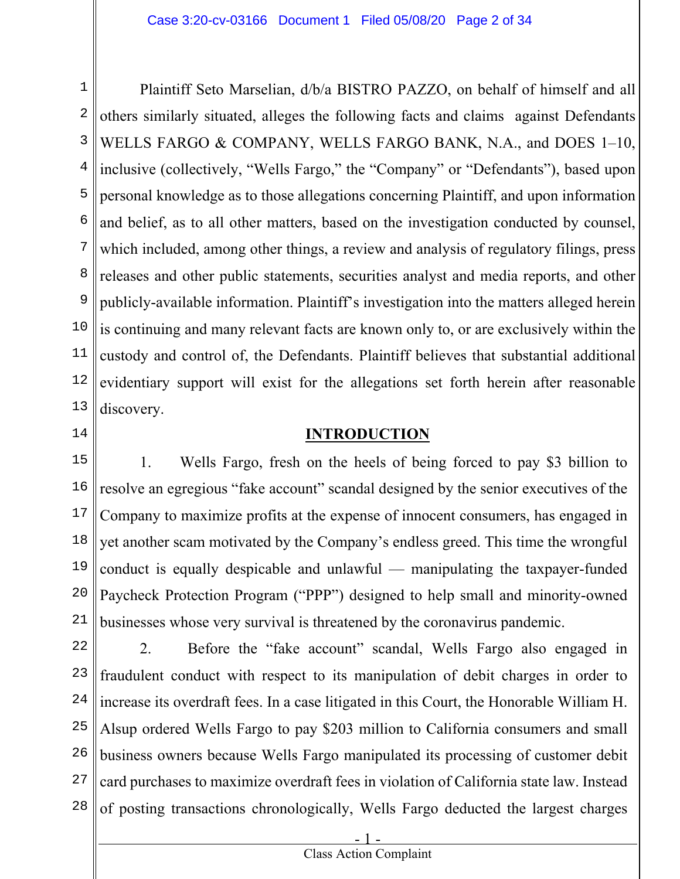1 2 3 4 5 6 7 8 9 10 11 12 13 Plaintiff Seto Marselian, d/b/a BISTRO PAZZO, on behalf of himself and all others similarly situated, alleges the following facts and claims against Defendants WELLS FARGO & COMPANY, WELLS FARGO BANK, N.A., and DOES 1–10, inclusive (collectively, "Wells Fargo," the "Company" or "Defendants"), based upon personal knowledge as to those allegations concerning Plaintiff, and upon information and belief, as to all other matters, based on the investigation conducted by counsel, which included, among other things, a review and analysis of regulatory filings, press releases and other public statements, securities analyst and media reports, and other publicly-available information. Plaintiff's investigation into the matters alleged herein is continuing and many relevant facts are known only to, or are exclusively within the custody and control of, the Defendants. Plaintiff believes that substantial additional evidentiary support will exist for the allegations set forth herein after reasonable discovery.

14

# **INTRODUCTION**

15 16 17 18 19 20 21 1. Wells Fargo, fresh on the heels of being forced to pay \$3 billion to resolve an egregious "fake account" scandal designed by the senior executives of the Company to maximize profits at the expense of innocent consumers, has engaged in yet another scam motivated by the Company's endless greed. This time the wrongful conduct is equally despicable and unlawful — manipulating the taxpayer-funded Paycheck Protection Program ("PPP") designed to help small and minority-owned businesses whose very survival is threatened by the coronavirus pandemic.

22 23 24 25 26 27 28 2. Before the "fake account" scandal, Wells Fargo also engaged in fraudulent conduct with respect to its manipulation of debit charges in order to increase its overdraft fees. In a case litigated in this Court, the Honorable William H. Alsup ordered Wells Fargo to pay \$203 million to California consumers and small business owners because Wells Fargo manipulated its processing of customer debit card purchases to maximize overdraft fees in violation of California state law. Instead of posting transactions chronologically, Wells Fargo deducted the largest charges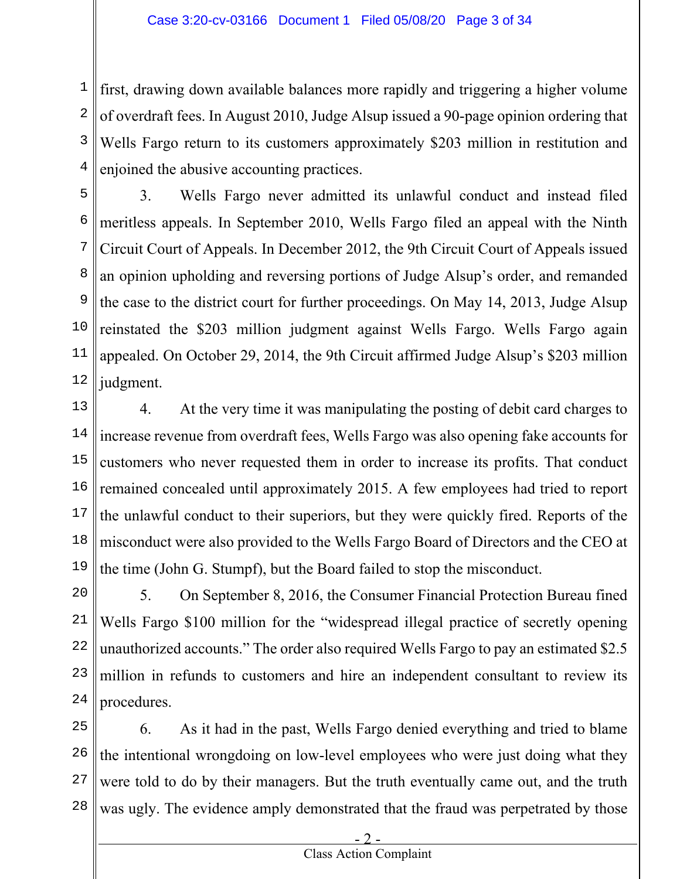1 2 3 4 first, drawing down available balances more rapidly and triggering a higher volume of overdraft fees. In August 2010, Judge Alsup issued a 90-page opinion ordering that Wells Fargo return to its customers approximately \$203 million in restitution and enjoined the abusive accounting practices.

5 6 7 8 9 10 11 12 3. Wells Fargo never admitted its unlawful conduct and instead filed meritless appeals. In September 2010, Wells Fargo filed an appeal with the Ninth Circuit Court of Appeals. In December 2012, the 9th Circuit Court of Appeals issued an opinion upholding and reversing portions of Judge Alsup's order, and remanded the case to the district court for further proceedings. On May 14, 2013, Judge Alsup reinstated the \$203 million judgment against Wells Fargo. Wells Fargo again appealed. On October 29, 2014, the 9th Circuit affirmed Judge Alsup's \$203 million judgment.

13 14 15 16 17 18 19 4. At the very time it was manipulating the posting of debit card charges to increase revenue from overdraft fees, Wells Fargo was also opening fake accounts for customers who never requested them in order to increase its profits. That conduct remained concealed until approximately 2015. A few employees had tried to report the unlawful conduct to their superiors, but they were quickly fired. Reports of the misconduct were also provided to the Wells Fargo Board of Directors and the CEO at the time (John G. Stumpf), but the Board failed to stop the misconduct.

20 21 22 23 24 5. On September 8, 2016, the Consumer Financial Protection Bureau fined Wells Fargo \$100 million for the "widespread illegal practice of secretly opening unauthorized accounts." The order also required Wells Fargo to pay an estimated \$2.5 million in refunds to customers and hire an independent consultant to review its procedures.

25 26 27 28 6. As it had in the past, Wells Fargo denied everything and tried to blame the intentional wrongdoing on low-level employees who were just doing what they were told to do by their managers. But the truth eventually came out, and the truth was ugly. The evidence amply demonstrated that the fraud was perpetrated by those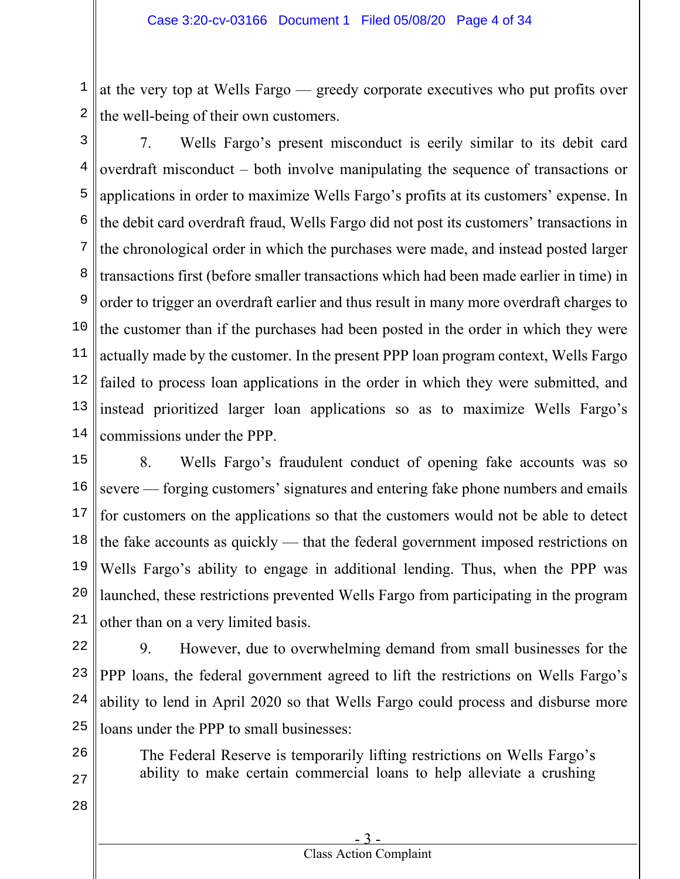1 2 at the very top at Wells Fargo — greedy corporate executives who put profits over the well-being of their own customers.

3

4 5 6 7 8 9 10 11 12 13 14 7. Wells Fargo's present misconduct is eerily similar to its debit card overdraft misconduct – both involve manipulating the sequence of transactions or applications in order to maximize Wells Fargo's profits at its customers' expense. In the debit card overdraft fraud, Wells Fargo did not post its customers' transactions in the chronological order in which the purchases were made, and instead posted larger transactions first (before smaller transactions which had been made earlier in time) in order to trigger an overdraft earlier and thus result in many more overdraft charges to the customer than if the purchases had been posted in the order in which they were actually made by the customer. In the present PPP loan program context, Wells Fargo failed to process loan applications in the order in which they were submitted, and instead prioritized larger loan applications so as to maximize Wells Fargo's commissions under the PPP.

15 16 17 18 19 20 21 8. Wells Fargo's fraudulent conduct of opening fake accounts was so severe — forging customers' signatures and entering fake phone numbers and emails for customers on the applications so that the customers would not be able to detect the fake accounts as quickly — that the federal government imposed restrictions on Wells Fargo's ability to engage in additional lending. Thus, when the PPP was launched, these restrictions prevented Wells Fargo from participating in the program other than on a very limited basis.

22 23 24 25 9. However, due to overwhelming demand from small businesses for the PPP loans, the federal government agreed to lift the restrictions on Wells Fargo's ability to lend in April 2020 so that Wells Fargo could process and disburse more loans under the PPP to small businesses:

- 26
- 27

The Federal Reserve is temporarily lifting restrictions on Wells Fargo's ability to make certain commercial loans to help alleviate a crushing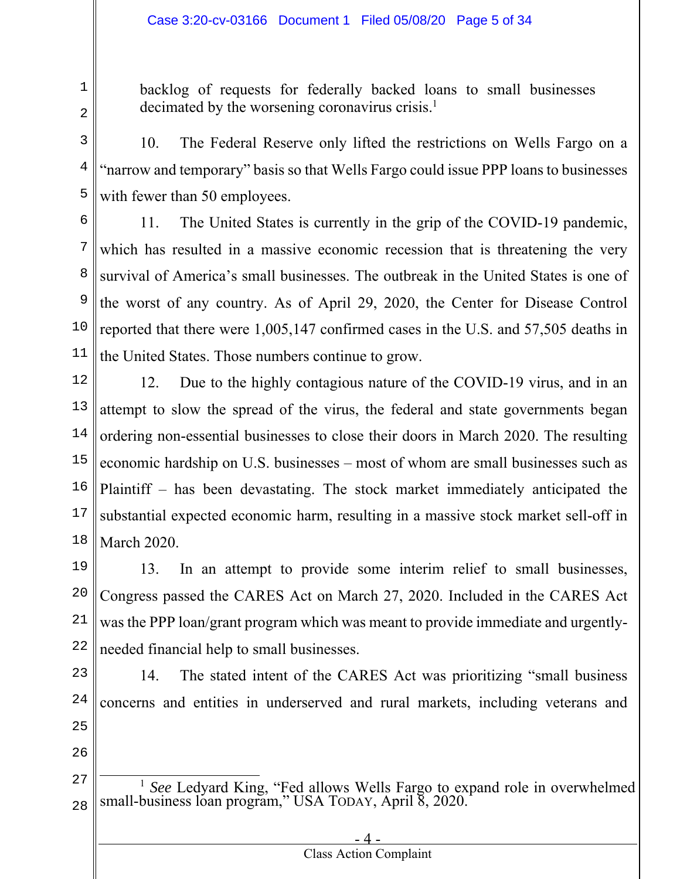backlog of requests for federally backed loans to small businesses decimated by the worsening coronavirus crisis.<sup>1</sup>

3 4 5 10. The Federal Reserve only lifted the restrictions on Wells Fargo on a "narrow and temporary" basis so that Wells Fargo could issue PPP loans to businesses with fewer than 50 employees.

6 7 8 9 10 11 11. The United States is currently in the grip of the COVID-19 pandemic, which has resulted in a massive economic recession that is threatening the very survival of America's small businesses. The outbreak in the United States is one of the worst of any country. As of April 29, 2020, the Center for Disease Control reported that there were 1,005,147 confirmed cases in the U.S. and 57,505 deaths in the United States. Those numbers continue to grow.

12 13 14 15 16 17 18 12. Due to the highly contagious nature of the COVID-19 virus, and in an attempt to slow the spread of the virus, the federal and state governments began ordering non-essential businesses to close their doors in March 2020. The resulting economic hardship on U.S. businesses – most of whom are small businesses such as Plaintiff – has been devastating. The stock market immediately anticipated the substantial expected economic harm, resulting in a massive stock market sell-off in March 2020.

19 20 21 22 13. In an attempt to provide some interim relief to small businesses, Congress passed the CARES Act on March 27, 2020. Included in the CARES Act was the PPP loan/grant program which was meant to provide immediate and urgentlyneeded financial help to small businesses.

23 24 25 14. The stated intent of the CARES Act was prioritizing "small business concerns and entities in underserved and rural markets, including veterans and

26

1

<sup>27</sup> 28 <sup>1</sup> See Ledyard King, "Fed allows Wells Fargo to expand role in overwhelmed small-business loan program," USA TODAY, April 8, 2020.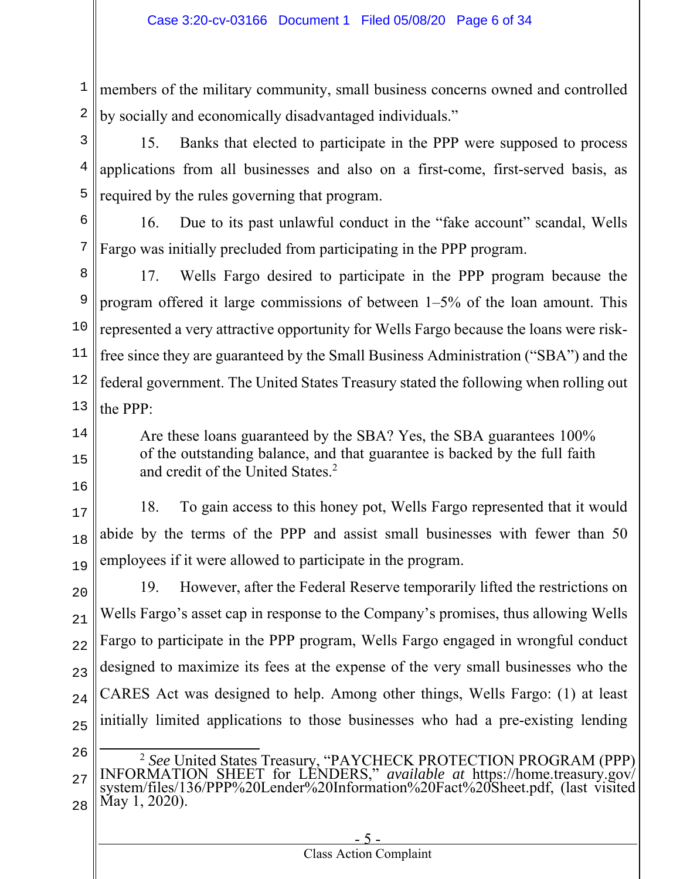1 2 members of the military community, small business concerns owned and controlled by socially and economically disadvantaged individuals."

3 4 5 15. Banks that elected to participate in the PPP were supposed to process applications from all businesses and also on a first-come, first-served basis, as required by the rules governing that program.

6 7 16. Due to its past unlawful conduct in the "fake account" scandal, Wells Fargo was initially precluded from participating in the PPP program.

8 9 10 11 12 13 17. Wells Fargo desired to participate in the PPP program because the program offered it large commissions of between 1–5% of the loan amount. This represented a very attractive opportunity for Wells Fargo because the loans were riskfree since they are guaranteed by the Small Business Administration ("SBA") and the federal government. The United States Treasury stated the following when rolling out the PPP:

14

15

- 16
- 17

18

19

18. To gain access to this honey pot, Wells Fargo represented that it would abide by the terms of the PPP and assist small businesses with fewer than 50 employees if it were allowed to participate in the program.

and credit of the United States.<sup>2</sup>

Are these loans guaranteed by the SBA? Yes, the SBA guarantees 100% of the outstanding balance, and that guarantee is backed by the full faith

20 21 22 23 24 25 19. However, after the Federal Reserve temporarily lifted the restrictions on Wells Fargo's asset cap in response to the Company's promises, thus allowing Wells Fargo to participate in the PPP program, Wells Fargo engaged in wrongful conduct designed to maximize its fees at the expense of the very small businesses who the CARES Act was designed to help. Among other things, Wells Fargo: (1) at least initially limited applications to those businesses who had a pre-existing lending

26

27 28 <sup>2</sup> See United States Treasury, "PAYCHECK PROTECTION PROGRAM (PPP)<br>INFORMATION SHEET for LENDERS," available at https://home.treasury.gov/<br>system/files/136/PPP%20Lender%20Information%20Fact%20Sheet.pdf, (last visited<br>May 1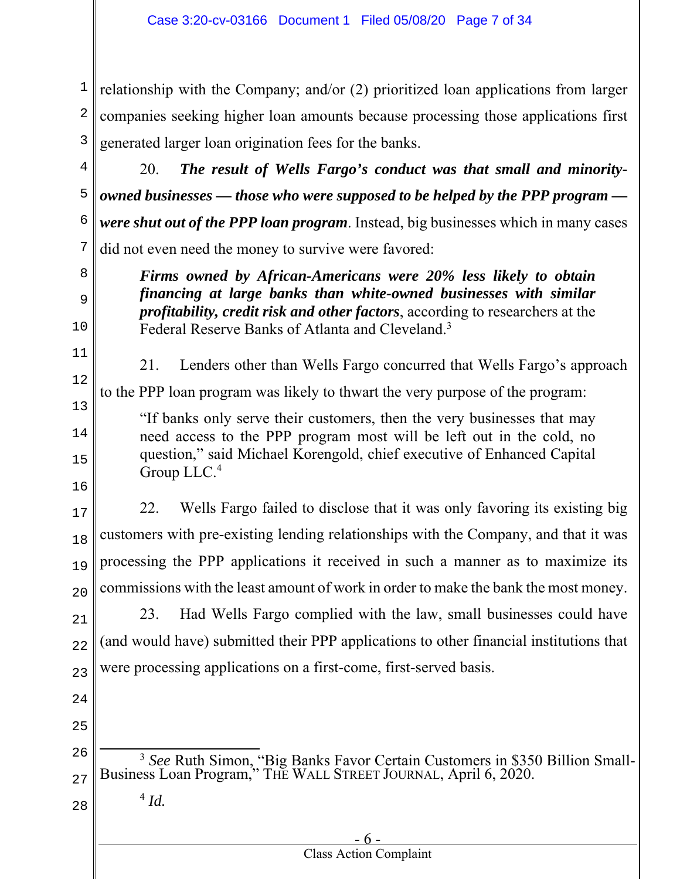1 2 3 relationship with the Company; and/or (2) prioritized loan applications from larger companies seeking higher loan amounts because processing those applications first generated larger loan origination fees for the banks.

4

5 6 7 20. *The result of Wells Fargo's conduct was that small and minorityowned businesses — those who were supposed to be helped by the PPP program were shut out of the PPP loan program*. Instead, big businesses which in many cases did not even need the money to survive were favored:

> *Firms owned by African-Americans were 20% less likely to obtain financing at large banks than white-owned businesses with similar profitability, credit risk and other factors*, according to researchers at the

8 9

 $1<sub>0</sub>$ 

11

12

14

15

16

21. Lenders other than Wells Fargo concurred that Wells Fargo's approach

13 to the PPP loan program was likely to thwart the very purpose of the program:

Federal Reserve Banks of Atlanta and Cleveland.<sup>3</sup>

"If banks only serve their customers, then the very businesses that may need access to the PPP program most will be left out in the cold, no question," said Michael Korengold, chief executive of Enhanced Capital Group LLC.4

17 18 19  $20$ 22. Wells Fargo failed to disclose that it was only favoring its existing big customers with pre-existing lending relationships with the Company, and that it was processing the PPP applications it received in such a manner as to maximize its commissions with the least amount of work in order to make the bank the most money.

21 22 23 23. Had Wells Fargo complied with the law, small businesses could have (and would have) submitted their PPP applications to other financial institutions that were processing applications on a first-come, first-served basis.

- 24
- 25

28

<sup>4</sup> *Id.*

- 6 - Class Action Complaint

<sup>26</sup> 27 <sup>3</sup> *See* Ruth Simon, "Big Banks Favor Certain Customers in \$350 Billion Small-Business Loan Program," THE WALL STREET JOURNAL, April 6, 2020.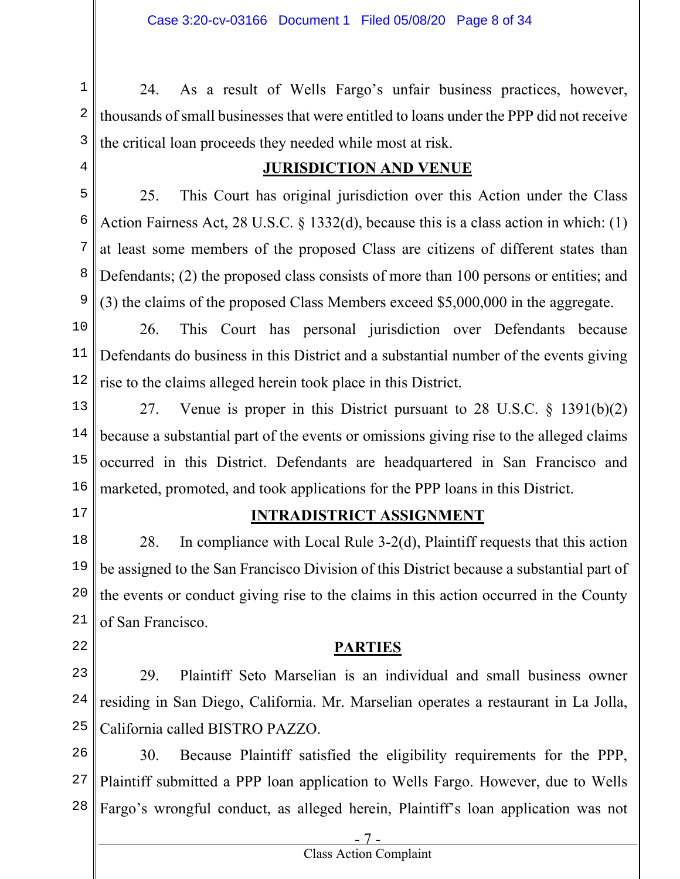1 2 3 24. As a result of Wells Fargo's unfair business practices, however, thousands of small businesses that were entitled to loans under the PPP did not receive the critical loan proceeds they needed while most at risk.

4

### **JURISDICTION AND VENUE**

5 6 7 8 9 25. This Court has original jurisdiction over this Action under the Class Action Fairness Act, 28 U.S.C. § 1332(d), because this is a class action in which: (1) at least some members of the proposed Class are citizens of different states than Defendants; (2) the proposed class consists of more than 100 persons or entities; and (3) the claims of the proposed Class Members exceed \$5,000,000 in the aggregate.

10 11 12 26. This Court has personal jurisdiction over Defendants because Defendants do business in this District and a substantial number of the events giving rise to the claims alleged herein took place in this District.

13 14 15 16 27. Venue is proper in this District pursuant to 28 U.S.C. § 1391(b)(2) because a substantial part of the events or omissions giving rise to the alleged claims occurred in this District. Defendants are headquartered in San Francisco and marketed, promoted, and took applications for the PPP loans in this District.

17

22

### **INTRADISTRICT ASSIGNMENT**

18 19 20 21 28. In compliance with Local Rule 3-2(d), Plaintiff requests that this action be assigned to the San Francisco Division of this District because a substantial part of the events or conduct giving rise to the claims in this action occurred in the County of San Francisco.

### **PARTIES**

23 24 25 29. Plaintiff Seto Marselian is an individual and small business owner residing in San Diego, California. Mr. Marselian operates a restaurant in La Jolla, California called BISTRO PAZZO.

26 27 28 30. Because Plaintiff satisfied the eligibility requirements for the PPP, Plaintiff submitted a PPP loan application to Wells Fargo. However, due to Wells Fargo's wrongful conduct, as alleged herein, Plaintiff's loan application was not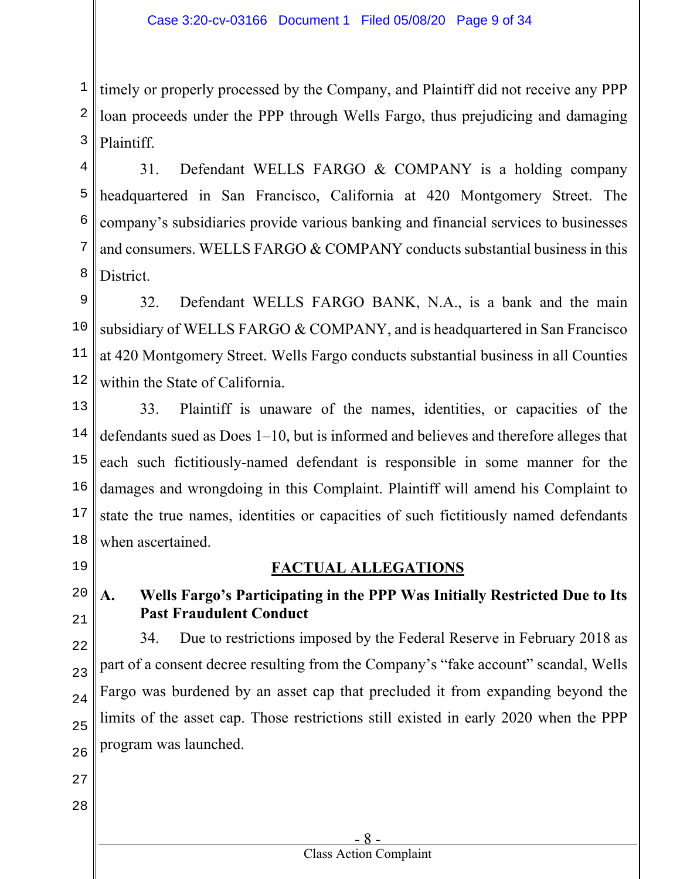1 2 3 timely or properly processed by the Company, and Plaintiff did not receive any PPP loan proceeds under the PPP through Wells Fargo, thus prejudicing and damaging Plaintiff.

4 5 6 7 8 31. Defendant WELLS FARGO & COMPANY is a holding company headquartered in San Francisco, California at 420 Montgomery Street. The company's subsidiaries provide various banking and financial services to businesses and consumers. WELLS FARGO & COMPANY conducts substantial business in this District.

9 10 11 12 32. Defendant WELLS FARGO BANK, N.A., is a bank and the main subsidiary of WELLS FARGO & COMPANY, and is headquartered in San Francisco at 420 Montgomery Street. Wells Fargo conducts substantial business in all Counties within the State of California.

13 14 15 16 17 18 33. Plaintiff is unaware of the names, identities, or capacities of the defendants sued as Does 1–10, but is informed and believes and therefore alleges that each such fictitiously-named defendant is responsible in some manner for the damages and wrongdoing in this Complaint. Plaintiff will amend his Complaint to state the true names, identities or capacities of such fictitiously named defendants when ascertained.

19

20

21

22

23

24

25

26

## **FACTUAL ALLEGATIONS**

**A. Wells Fargo's Participating in the PPP Was Initially Restricted Due to Its Past Fraudulent Conduct** 

34. Due to restrictions imposed by the Federal Reserve in February 2018 as part of a consent decree resulting from the Company's "fake account" scandal, Wells Fargo was burdened by an asset cap that precluded it from expanding beyond the limits of the asset cap. Those restrictions still existed in early 2020 when the PPP program was launched.

- 27
- 28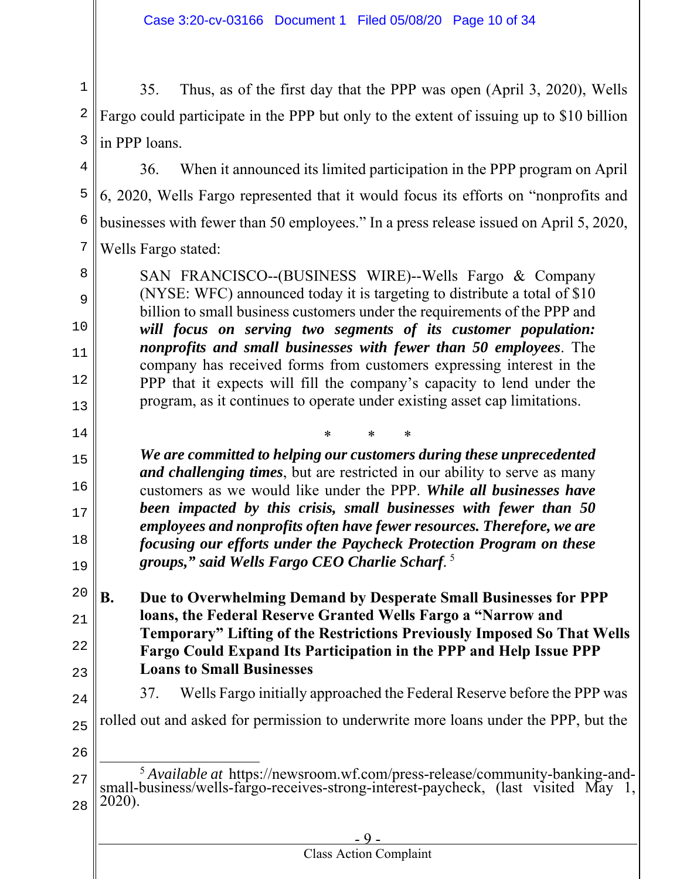1 2 3 35. Thus, as of the first day that the PPP was open (April 3, 2020), Wells Fargo could participate in the PPP but only to the extent of issuing up to \$10 billion in PPP loans.

4 5 6 7 36. When it announced its limited participation in the PPP program on April 6, 2020, Wells Fargo represented that it would focus its efforts on "nonprofits and businesses with fewer than 50 employees." In a press release issued on April 5, 2020, Wells Fargo stated:

SAN FRANCISCO--(BUSINESS WIRE)--Wells Fargo & Company (NYSE: WFC) announced today it is targeting to distribute a total of \$10 billion to small business customers under the requirements of the PPP and *will focus on serving two segments of its customer population: nonprofits and small businesses with fewer than 50 employees*. The company has received forms from customers expressing interest in the PPP that it expects will fill the company's capacity to lend under the program, as it continues to operate under existing asset cap limitations.

15 16 17 18 19 \* \* \* *We are committed to helping our customers during these unprecedented and challenging times*, but are restricted in our ability to serve as many customers as we would like under the PPP. *While all businesses have been impacted by this crisis, small businesses with fewer than 50 employees and nonprofits often have fewer resources. Therefore, we are focusing our efforts under the Paycheck Protection Program on these groups," said Wells Fargo CEO Charlie Scharf.* 5

20 21 22 23 **B. Due to Overwhelming Demand by Desperate Small Businesses for PPP loans, the Federal Reserve Granted Wells Fargo a "Narrow and Temporary" Lifting of the Restrictions Previously Imposed So That Wells Fargo Could Expand Its Participation in the PPP and Help Issue PPP Loans to Small Businesses** 

24

8

9

 $1<sub>0</sub>$ 

11

12

13

14

37. Wells Fargo initially approached the Federal Reserve before the PPP was

25 rolled out and asked for permission to underwrite more loans under the PPP, but the

<sup>27</sup> 28 <sup>5</sup> *Available at* https://newsroom.wf.com/press-release/community-banking-and-<br>small-business/wells-fargo-receives-strong-interest-paycheck, (last visited May 1, 2020).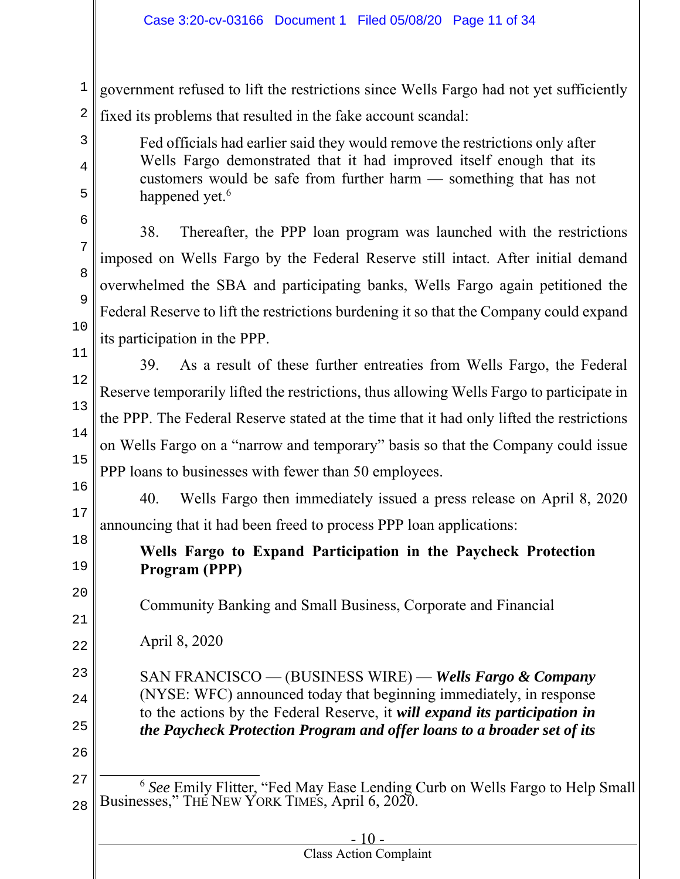### Case 3:20-cv-03166 Document 1 Filed 05/08/20 Page 11 of 34

1 2 government refused to lift the restrictions since Wells Fargo had not yet sufficiently fixed its problems that resulted in the fake account scandal:

Fed officials had earlier said they would remove the restrictions only after Wells Fargo demonstrated that it had improved itself enough that its customers would be safe from further harm — something that has not happened yet.<sup>6</sup>

38. Thereafter, the PPP loan program was launched with the restrictions imposed on Wells Fargo by the Federal Reserve still intact. After initial demand overwhelmed the SBA and participating banks, Wells Fargo again petitioned the Federal Reserve to lift the restrictions burdening it so that the Company could expand its participation in the PPP.

11 12 13 14 15 16 39. As a result of these further entreaties from Wells Fargo, the Federal Reserve temporarily lifted the restrictions, thus allowing Wells Fargo to participate in the PPP. The Federal Reserve stated at the time that it had only lifted the restrictions on Wells Fargo on a "narrow and temporary" basis so that the Company could issue PPP loans to businesses with fewer than 50 employees.

40. Wells Fargo then immediately issued a press release on April 8, 2020 announcing that it had been freed to process PPP loan applications:

# **Wells Fargo to Expand Participation in the Paycheck Protection Program (PPP)**

Community Banking and Small Business, Corporate and Financial

22 April 8, 2020

> SAN FRANCISCO — (BUSINESS WIRE) — *Wells Fargo & Company* (NYSE: WFC) announced today that beginning immediately, in response to the actions by the Federal Reserve, it *will expand its participation in the Paycheck Protection Program and offer loans to a broader set of its*

26 27

3

4

5

6

7

8

9

 $1<sub>0</sub>$ 

17

18

19

20

21

23

24

<sup>28</sup> <sup>6</sup> *See* Emily Flitter, "Fed May Ease Lending Curb on Wells Fargo to Help Small Businesses," THE NEW YORK TIMES, April 6, 2020.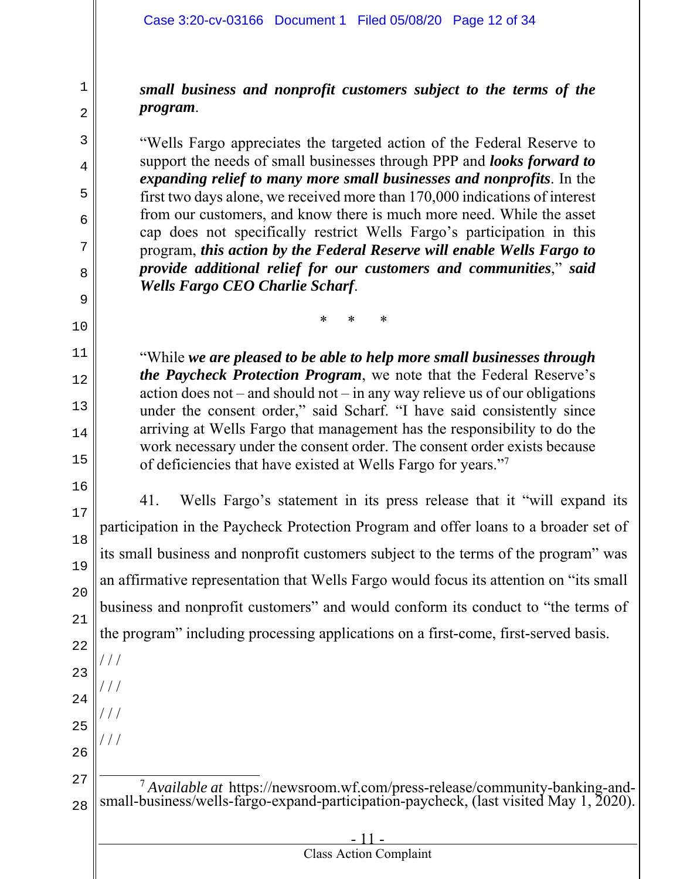1

2

3

4

5

6

7

8

9

 $1<sub>0</sub>$ 

11

12

13

14

15

16

17

18

19

20

21

22

23

/ / /

 $\frac{1}{2}$ 

 $\frac{1}{2}$ 

 $\frac{1}{2}$ 

24

25

26

*small business and nonprofit customers subject to the terms of the program*.

"Wells Fargo appreciates the targeted action of the Federal Reserve to support the needs of small businesses through PPP and *looks forward to expanding relief to many more small businesses and nonprofits*. In the first two days alone, we received more than 170,000 indications of interest from our customers, and know there is much more need. While the asset cap does not specifically restrict Wells Fargo's participation in this program, *this action by the Federal Reserve will enable Wells Fargo to provide additional relief for our customers and communities*," *said Wells Fargo CEO Charlie Scharf*.

\* \* \*

"While *we are pleased to be able to help more small businesses through the Paycheck Protection Program*, we note that the Federal Reserve's action does not – and should not – in any way relieve us of our obligations under the consent order," said Scharf. "I have said consistently since arriving at Wells Fargo that management has the responsibility to do the work necessary under the consent order. The consent order exists because of deficiencies that have existed at Wells Fargo for years."7

41. Wells Fargo's statement in its press release that it "will expand its participation in the Paycheck Protection Program and offer loans to a broader set of its small business and nonprofit customers subject to the terms of the program" was an affirmative representation that Wells Fargo would focus its attention on "its small business and nonprofit customers" and would conform its conduct to "the terms of the program" including processing applications on a first-come, first-served basis.

27 28 <sup>7</sup> *Available at* https://newsroom.wf.com/press-release/community-banking-and- small-business/wells-fargo-expand-participation-paycheck, (last visited May 1, 2020).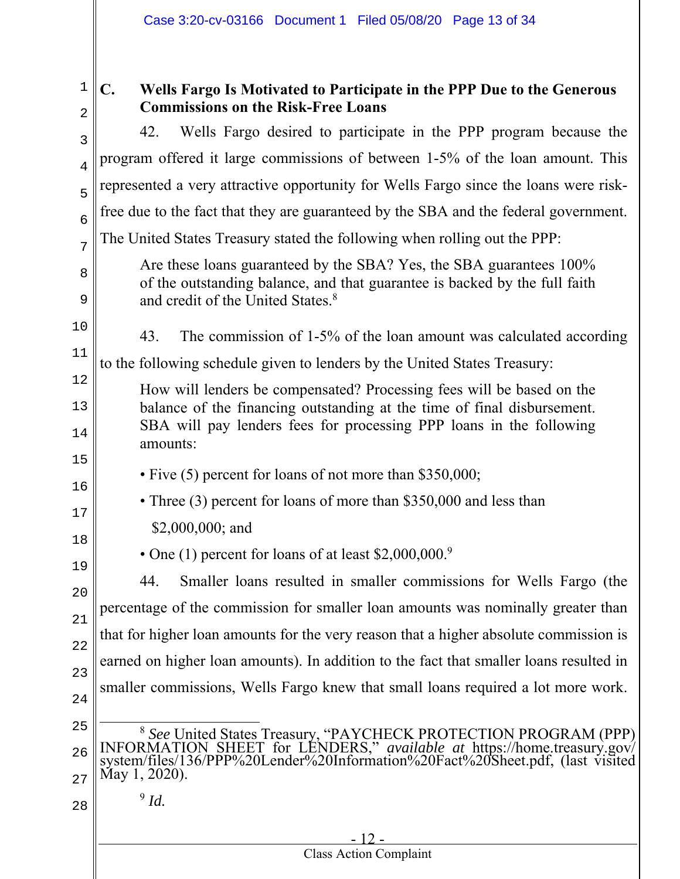| ╯<br>, |
|--------|

3

4

5

6

7

8

9

12

13

14

15

16

17

18

19

# **C. Wells Fargo Is Motivated to Participate in the PPP Due to the Generous Commissions on the Risk-Free Loans**

42. Wells Fargo desired to participate in the PPP program because the program offered it large commissions of between 1-5% of the loan amount. This represented a very attractive opportunity for Wells Fargo since the loans were riskfree due to the fact that they are guaranteed by the SBA and the federal government. The United States Treasury stated the following when rolling out the PPP:

- Are these loans guaranteed by the SBA? Yes, the SBA guarantees 100% of the outstanding balance, and that guarantee is backed by the full faith and credit of the United States.<sup>8</sup>
- $1<sub>0</sub>$ 43. The commission of 1-5% of the loan amount was calculated according

#### 11 to the following schedule given to lenders by the United States Treasury:

How will lenders be compensated? Processing fees will be based on the balance of the financing outstanding at the time of final disbursement. SBA will pay lenders fees for processing PPP loans in the following amounts:

# • Five (5) percent for loans of not more than \$350,000;

- Three (3) percent for loans of more than \$350,000 and less than
- \$2,000,000; and
	- One (1) percent for loans of at least \$2,000,000.<sup>9</sup>

20 21 22 23 24 44. Smaller loans resulted in smaller commissions for Wells Fargo (the percentage of the commission for smaller loan amounts was nominally greater than that for higher loan amounts for the very reason that a higher absolute commission is earned on higher loan amounts). In addition to the fact that smaller loans resulted in smaller commissions, Wells Fargo knew that small loans required a lot more work.

- 
- 25

26 27 <sup>8</sup> See United States Treasury, "PAYCHECK PROTECTION PROGRAM (PPP) INFORMATION SHEET for LENDERS," *available at* https://home.treasury.gov/<br>system/files/136/PPP%20Lender%20Information%20Fact%20Sheet.pdf, (last visited May

28

 $9$   $Id.$ 

#### $-12$ . Class Action Complaint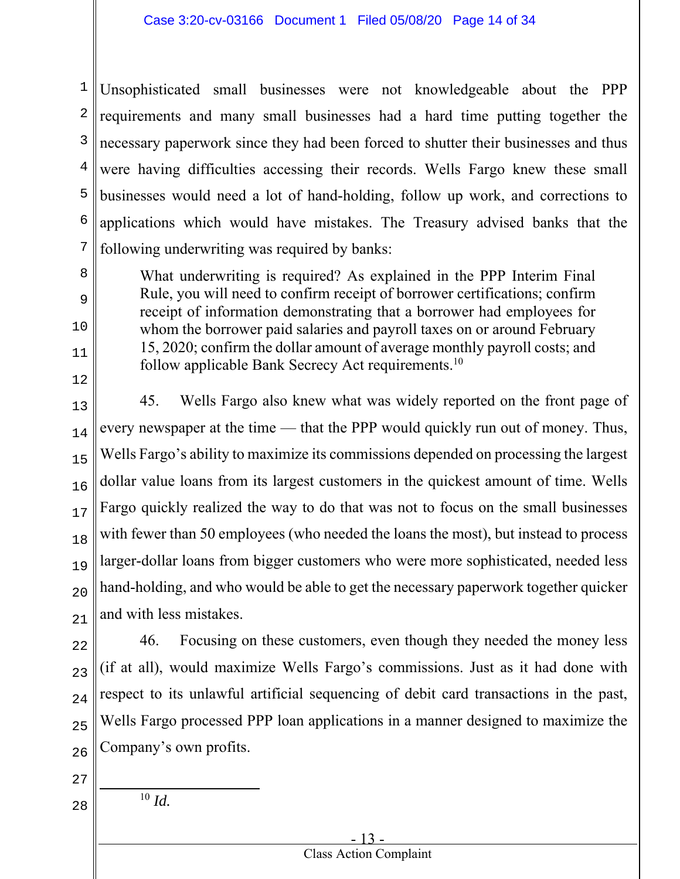1 2 3 4 5 6 7 Unsophisticated small businesses were not knowledgeable about the PPP requirements and many small businesses had a hard time putting together the necessary paperwork since they had been forced to shutter their businesses and thus were having difficulties accessing their records. Wells Fargo knew these small businesses would need a lot of hand-holding, follow up work, and corrections to applications which would have mistakes. The Treasury advised banks that the following underwriting was required by banks:

What underwriting is required? As explained in the PPP Interim Final Rule, you will need to confirm receipt of borrower certifications; confirm receipt of information demonstrating that a borrower had employees for whom the borrower paid salaries and payroll taxes on or around February 15, 2020; confirm the dollar amount of average monthly payroll costs; and follow applicable Bank Secrecy Act requirements.<sup>10</sup>

13 14 15 16 17 18 19  $20$ 21 45. Wells Fargo also knew what was widely reported on the front page of every newspaper at the time — that the PPP would quickly run out of money. Thus, Wells Fargo's ability to maximize its commissions depended on processing the largest dollar value loans from its largest customers in the quickest amount of time. Wells Fargo quickly realized the way to do that was not to focus on the small businesses with fewer than 50 employees (who needed the loans the most), but instead to process larger-dollar loans from bigger customers who were more sophisticated, needed less hand-holding, and who would be able to get the necessary paperwork together quicker and with less mistakes.

22 23 24 25 26 46. Focusing on these customers, even though they needed the money less (if at all), would maximize Wells Fargo's commissions. Just as it had done with respect to its unlawful artificial sequencing of debit card transactions in the past, Wells Fargo processed PPP loan applications in a manner designed to maximize the Company's own profits.

- 27
- 28

8

9

10

11

12

<sup>10</sup> *Id.*

#### - 13 - Class Action Complaint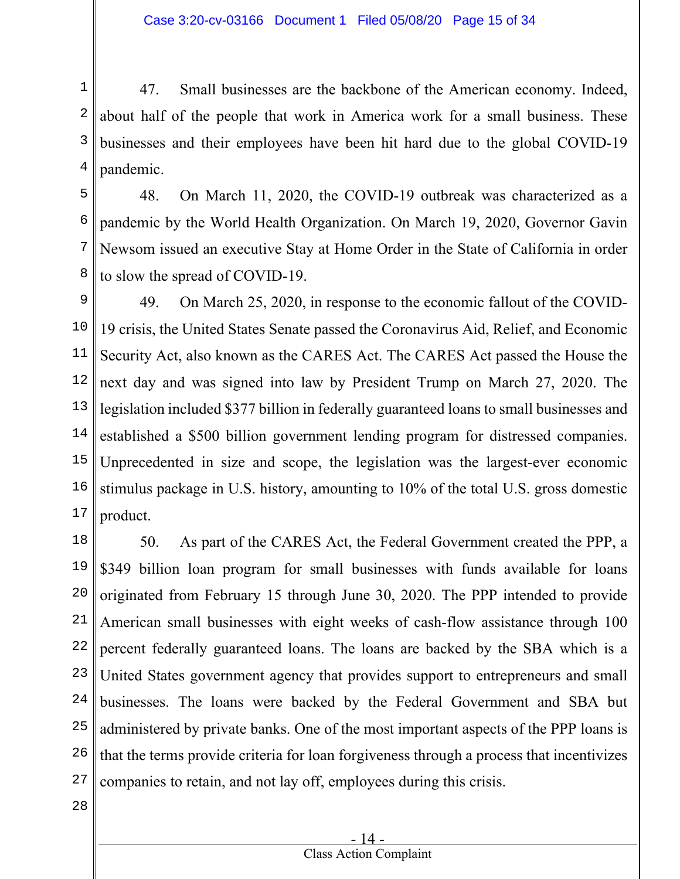1 2 3 4 47. Small businesses are the backbone of the American economy. Indeed, about half of the people that work in America work for a small business. These businesses and their employees have been hit hard due to the global COVID-19 pandemic.

5 6 7 8 48. On March 11, 2020, the COVID-19 outbreak was characterized as a pandemic by the World Health Organization. On March 19, 2020, Governor Gavin Newsom issued an executive Stay at Home Order in the State of California in order to slow the spread of COVID-19.

9 10 11 12 13 14 15 16 17 49. On March 25, 2020, in response to the economic fallout of the COVID-19 crisis, the United States Senate passed the Coronavirus Aid, Relief, and Economic Security Act, also known as the CARES Act. The CARES Act passed the House the next day and was signed into law by President Trump on March 27, 2020. The legislation included \$377 billion in federally guaranteed loans to small businesses and established a \$500 billion government lending program for distressed companies. Unprecedented in size and scope, the legislation was the largest-ever economic stimulus package in U.S. history, amounting to 10% of the total U.S. gross domestic product.

18 19 20 21 22 23 24 25 26 27 50. As part of the CARES Act, the Federal Government created the PPP, a \$349 billion loan program for small businesses with funds available for loans originated from February 15 through June 30, 2020. The PPP intended to provide American small businesses with eight weeks of cash-flow assistance through 100 percent federally guaranteed loans. The loans are backed by the SBA which is a United States government agency that provides support to entrepreneurs and small businesses. The loans were backed by the Federal Government and SBA but administered by private banks. One of the most important aspects of the PPP loans is that the terms provide criteria for loan forgiveness through a process that incentivizes companies to retain, and not lay off, employees during this crisis.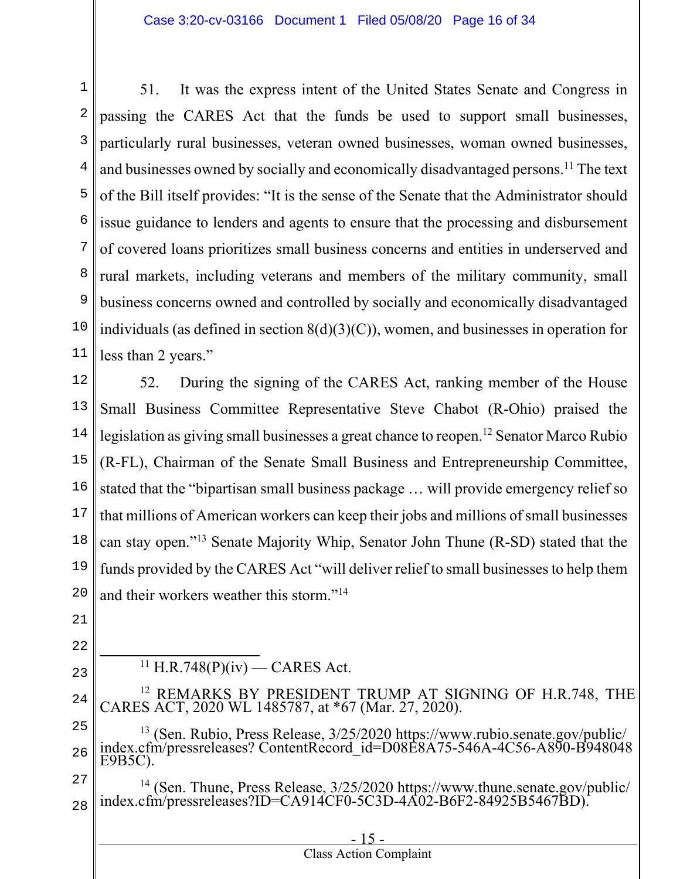1 2 3 4 5 6 7 8 9 10 11 51. It was the express intent of the United States Senate and Congress in passing the CARES Act that the funds be used to support small businesses, particularly rural businesses, veteran owned businesses, woman owned businesses, and businesses owned by socially and economically disadvantaged persons.<sup>11</sup> The text of the Bill itself provides: "It is the sense of the Senate that the Administrator should issue guidance to lenders and agents to ensure that the processing and disbursement of covered loans prioritizes small business concerns and entities in underserved and rural markets, including veterans and members of the military community, small business concerns owned and controlled by socially and economically disadvantaged individuals (as defined in section  $8(d)(3)(C)$ ), women, and businesses in operation for less than 2 years."

12 13 14 15 16 17 18 19 20 52. During the signing of the CARES Act, ranking member of the House Small Business Committee Representative Steve Chabot (R-Ohio) praised the legislation as giving small businesses a great chance to reopen. 12 Senator Marco Rubio (R-FL), Chairman of the Senate Small Business and Entrepreneurship Committee, stated that the "bipartisan small business package … will provide emergency relief so that millions of American workers can keep their jobs and millions of small businesses can stay open."13 Senate Majority Whip, Senator John Thune (R-SD) stated that the funds provided by the CARES Act "will deliver relief to small businesses to help them and their workers weather this storm."14

- 21 22
- 23
- $11$  H.R.748(P)(iv) CARES Act.
- 24 12 REMARKS BY PRESIDENT TRUMP AT SIGNING OF H.R.748, THE CARES ACT, 2020 WL 1485787, at \*67 (Mar. 27, 2020).

25 26 <sup>13</sup> (Sen. Rubio, Press Release, 3/25/2020 https://www.rubio.senate.gov/public/ index.cfm/pressreleases? ContentRecord id=D08E8A75-546A-4C56-A890-B948048 E9B5C).

27 28 <sup>14</sup> (Sen. Thune, Press Release, 3/25/2020 https://www.thune.senate.gov/public/ index.cfm/pressreleases?ID=CA914CF0-5C3D-4A02-B6F2-84925B5467BD).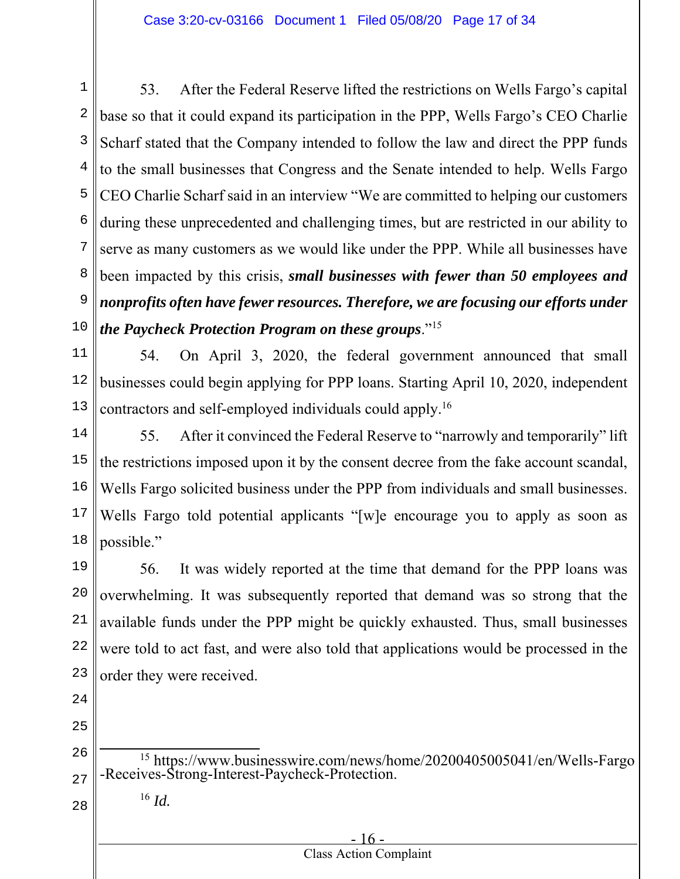1 2 3 4 5 6 7 8 9 10 53. After the Federal Reserve lifted the restrictions on Wells Fargo's capital base so that it could expand its participation in the PPP, Wells Fargo's CEO Charlie Scharf stated that the Company intended to follow the law and direct the PPP funds to the small businesses that Congress and the Senate intended to help. Wells Fargo CEO Charlie Scharf said in an interview "We are committed to helping our customers during these unprecedented and challenging times, but are restricted in our ability to serve as many customers as we would like under the PPP. While all businesses have been impacted by this crisis, *small businesses with fewer than 50 employees and nonprofits often have fewer resources. Therefore, we are focusing our efforts under the Paycheck Protection Program on these groups*."15

11 12 13 54. On April 3, 2020, the federal government announced that small businesses could begin applying for PPP loans. Starting April 10, 2020, independent contractors and self-employed individuals could apply.16

14 15 16 17 18 55. After it convinced the Federal Reserve to "narrowly and temporarily" lift the restrictions imposed upon it by the consent decree from the fake account scandal, Wells Fargo solicited business under the PPP from individuals and small businesses. Wells Fargo told potential applicants "[w]e encourage you to apply as soon as possible."

19 20 21 22 23 56. It was widely reported at the time that demand for the PPP loans was overwhelming. It was subsequently reported that demand was so strong that the available funds under the PPP might be quickly exhausted. Thus, small businesses were told to act fast, and were also told that applications would be processed in the order they were received.

- 24
- 25

28

<sup>16</sup> *Id.*

| $-16-$                        |  |
|-------------------------------|--|
| <b>Class Action Complaint</b> |  |

<sup>26</sup> 27 <sup>15</sup> https://www.businesswire.com/news/home/20200405005041/en/Wells-Fargo -Receives-Strong-Interest-Paycheck-Protection.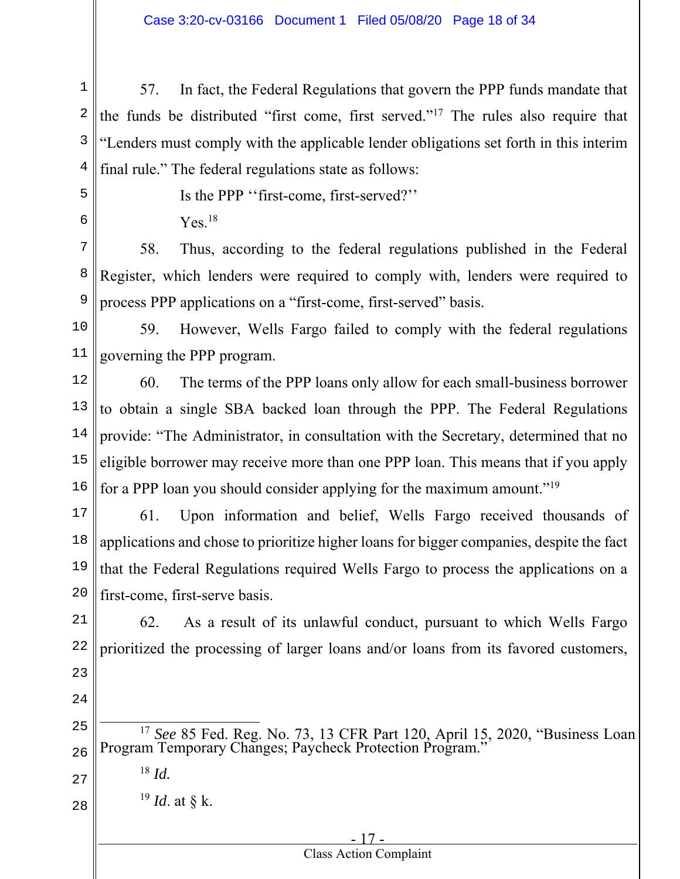1 2 3 4 57. In fact, the Federal Regulations that govern the PPP funds mandate that the funds be distributed "first come, first served."17 The rules also require that "Lenders must comply with the applicable lender obligations set forth in this interim final rule." The federal regulations state as follows:

- 5
- 6

Is the PPP ''first-come, first-served?''

 $Yes.<sup>18</sup>$ 

7 8 9 58. Thus, according to the federal regulations published in the Federal Register, which lenders were required to comply with, lenders were required to process PPP applications on a "first-come, first-served" basis.

10

11

59. However, Wells Fargo failed to comply with the federal regulations governing the PPP program.

12 13 14 15 16 60. The terms of the PPP loans only allow for each small-business borrower to obtain a single SBA backed loan through the PPP. The Federal Regulations provide: "The Administrator, in consultation with the Secretary, determined that no eligible borrower may receive more than one PPP loan. This means that if you apply for a PPP loan you should consider applying for the maximum amount."19

17 18 19 20 61. Upon information and belief, Wells Fargo received thousands of applications and chose to prioritize higher loans for bigger companies, despite the fact that the Federal Regulations required Wells Fargo to process the applications on a first-come, first-serve basis.

21 22 23 62. As a result of its unlawful conduct, pursuant to which Wells Fargo prioritized the processing of larger loans and/or loans from its favored customers,

25 26 <sup>17</sup> *See* 85 Fed. Reg. No. 73, 13 CFR Part 120, April 15, 2020, "Business Loan Program Temporary Changes; Paycheck Protection Program."

27

28

24

<sup>19</sup> *Id*. at § k.

<sup>18</sup> *Id.*

#### - 17 - Class Action Complaint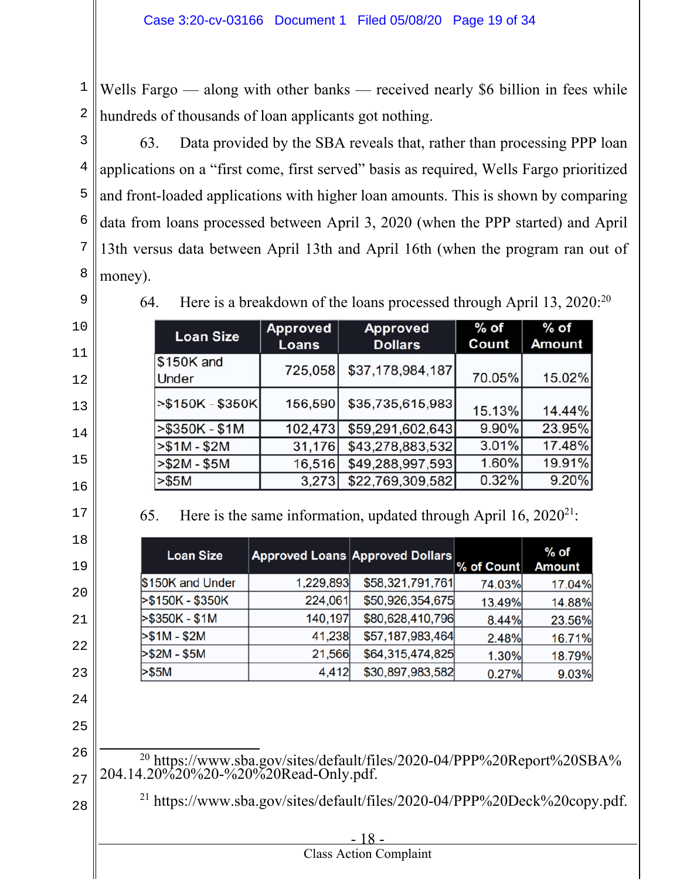Wells Fargo — along with other banks — received nearly \$6 billion in fees while hundreds of thousands of loan applicants got nothing.

 63. Data provided by the SBA reveals that, rather than processing PPP loan applications on a "first come, first served" basis as required, Wells Fargo prioritized and front-loaded applications with higher loan amounts. This is shown by comparing data from loans processed between April 3, 2020 (when the PPP started) and April 13th versus data between April 13th and April 16th (when the program ran out of money).

64. Here is a breakdown of the loans processed through April 13, 2020:20

| <b>Loan Size</b>     | Approved<br>Loans | <b>Approved</b><br><b>Dollars</b> | $%$ of<br>Count | $%$ of<br><b>Amount</b> |
|----------------------|-------------------|-----------------------------------|-----------------|-------------------------|
| \$150K and<br>Under  | 725,058           | \$37,178,984,187                  | 70.05%          | 15.02%                  |
| $ $ >\$150K - \$350K | 156,590           | \$35,735,615,983                  | 15.13%          | 14.44%                  |
| $> $350K - $1M$      | 102,473           | \$59,291,602,643                  | 9.90%           | 23.95%                  |
| $> $1M - $2M$        | 31,176            | \$43,278,883,532                  | 3.01%           | 17.48%                  |
| $> $2M - $5M$        | 16,516            | \$49,288,997,593                  | 1.60%           | 19.91%                  |
| > \$5M               | 3,273             | \$22,769,309,582                  | 0.32%           | 9.20%                   |

65. Here is the same information, updated through April 16,  $2020^{21}$ :

| <b>Loan Size</b> |           | <b>Approved Loans Approved Dollars</b> | % of Count | % of<br><b>Amount</b> |
|------------------|-----------|----------------------------------------|------------|-----------------------|
| \$150K and Under | 1,229,893 | \$58,321,791,761                       | 74.03%     | 17.04%                |
| >\$150K - \$350K | 224,061   | \$50,926,354,675                       | 13.49%     | 14.88%                |
| >\$350K - \$1M   | 140,197   | \$80,628,410,796                       | 8.44%      | 23.56%                |
| $> $1M - $2M$    | 41,238    | \$57,187,983,464                       | 2.48%      | 16.71%                |
| >\$2M - \$5M     | 21,566    | \$64,315,474,825                       | 1.30%      | 18.79%                |
| >\$5M            | 4,412     | \$30,897,983,582                       | 0.27%      | 9.03%                 |

- 
- 

20 https://www.sba.gov/sites/default/files/2020-04/PPP%20Report%20SBA% 204.14.20%20%20-%20%20Read-Only.pdf.

21 https://www.sba.gov/sites/default/files/2020-04/PPP%20Deck%20copy.pdf.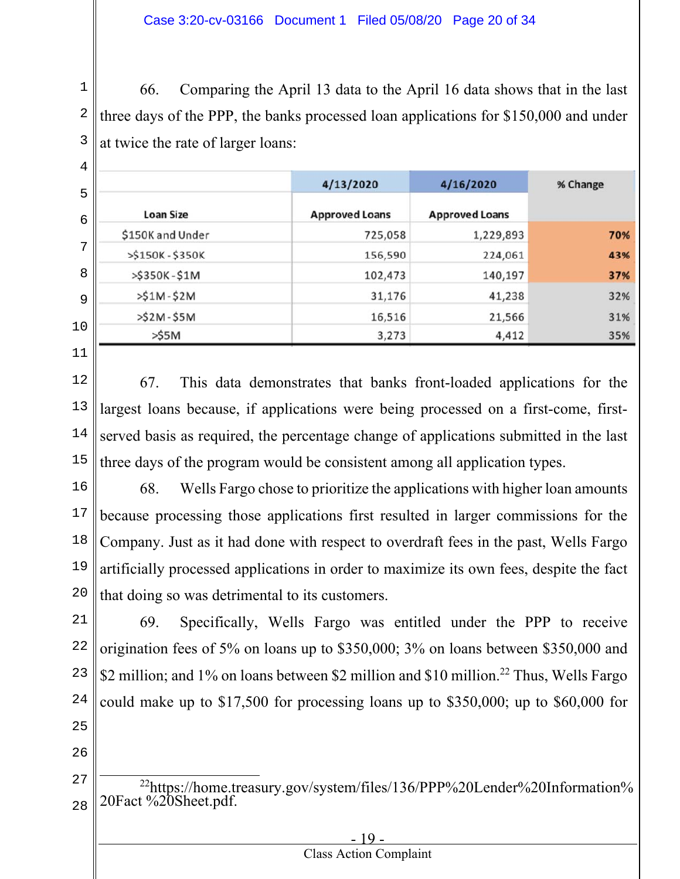1 2 3 66. Comparing the April 13 data to the April 16 data shows that in the last three days of the PPP, the banks processed loan applications for \$150,000 and under at twice the rate of larger loans:

|                  | 4/13/2020             | 4/16/2020             | % Change |
|------------------|-----------------------|-----------------------|----------|
| <b>Loan Size</b> | <b>Approved Loans</b> | <b>Approved Loans</b> |          |
| \$150K and Under | 725,058               | 1,229,893             | 70%      |
| >\$150K-\$350K   | 156,590               | 224,061               | 43%      |
| >\$350K-\$1M     | 102,473               | 140,197               | 37%      |
| $>51M-52M$       | 31,176                | 41,238                | 32%      |
| $>52M-55M$       | 16,516                | 21,566                | 31%      |
| >55M             | 3,273                 | 4,412                 | 35%      |

11

12 13 14 15 67. This data demonstrates that banks front-loaded applications for the largest loans because, if applications were being processed on a first-come, firstserved basis as required, the percentage change of applications submitted in the last three days of the program would be consistent among all application types.

16 17 18 19 20 68. Wells Fargo chose to prioritize the applications with higher loan amounts because processing those applications first resulted in larger commissions for the Company. Just as it had done with respect to overdraft fees in the past, Wells Fargo artificially processed applications in order to maximize its own fees, despite the fact that doing so was detrimental to its customers.

21 22 23 24 25 69. Specifically, Wells Fargo was entitled under the PPP to receive origination fees of 5% on loans up to \$350,000; 3% on loans between \$350,000 and \$2 million; and 1% on loans between \$2 million and \$10 million.<sup>22</sup> Thus, Wells Fargo could make up to \$17,500 for processing loans up to \$350,000; up to \$60,000 for

- 26
- 27 28 <sup>22</sup>https://home.treasury.gov/system/files/136/PPP%20Lender%20Information% 20Fact %20Sheet.pdf.

| <b>Class Action Complaint</b> |  |
|-------------------------------|--|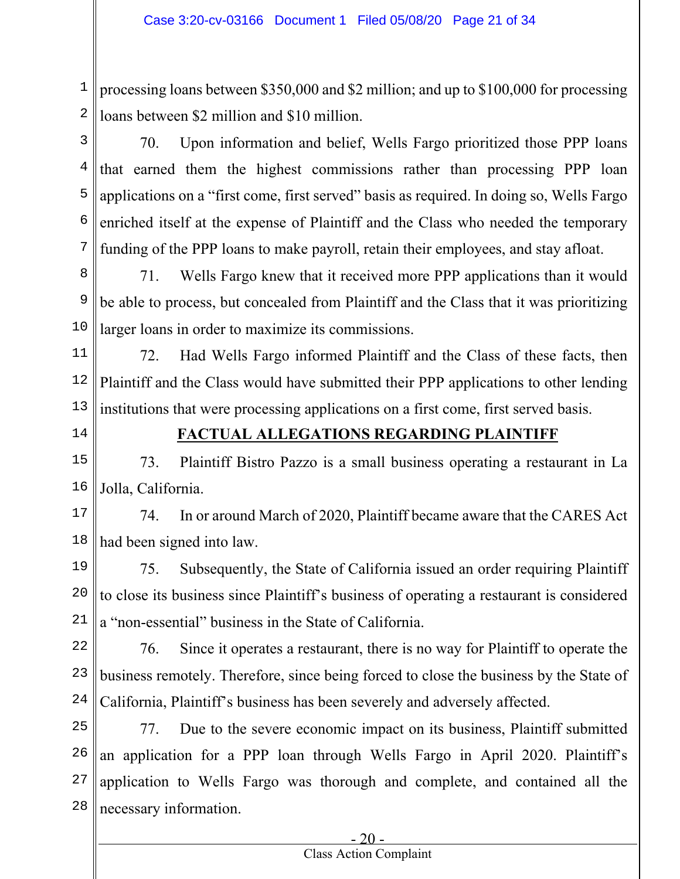1 2 processing loans between \$350,000 and \$2 million; and up to \$100,000 for processing loans between \$2 million and \$10 million.

3

4 5 6 7 70. Upon information and belief, Wells Fargo prioritized those PPP loans that earned them the highest commissions rather than processing PPP loan applications on a "first come, first served" basis as required. In doing so, Wells Fargo enriched itself at the expense of Plaintiff and the Class who needed the temporary funding of the PPP loans to make payroll, retain their employees, and stay afloat.

8 9 10 71. Wells Fargo knew that it received more PPP applications than it would be able to process, but concealed from Plaintiff and the Class that it was prioritizing larger loans in order to maximize its commissions.

11 12 13 72. Had Wells Fargo informed Plaintiff and the Class of these facts, then Plaintiff and the Class would have submitted their PPP applications to other lending institutions that were processing applications on a first come, first served basis.

14

# **FACTUAL ALLEGATIONS REGARDING PLAINTIFF**

15 16 73. Plaintiff Bistro Pazzo is a small business operating a restaurant in La Jolla, California.

17 18 74. In or around March of 2020, Plaintiff became aware that the CARES Act had been signed into law.

19 20 21 75. Subsequently, the State of California issued an order requiring Plaintiff to close its business since Plaintiff's business of operating a restaurant is considered a "non-essential" business in the State of California.

22 23 24 76. Since it operates a restaurant, there is no way for Plaintiff to operate the business remotely. Therefore, since being forced to close the business by the State of California, Plaintiff's business has been severely and adversely affected.

25 26 27 28 77. Due to the severe economic impact on its business, Plaintiff submitted an application for a PPP loan through Wells Fargo in April 2020. Plaintiff's application to Wells Fargo was thorough and complete, and contained all the necessary information.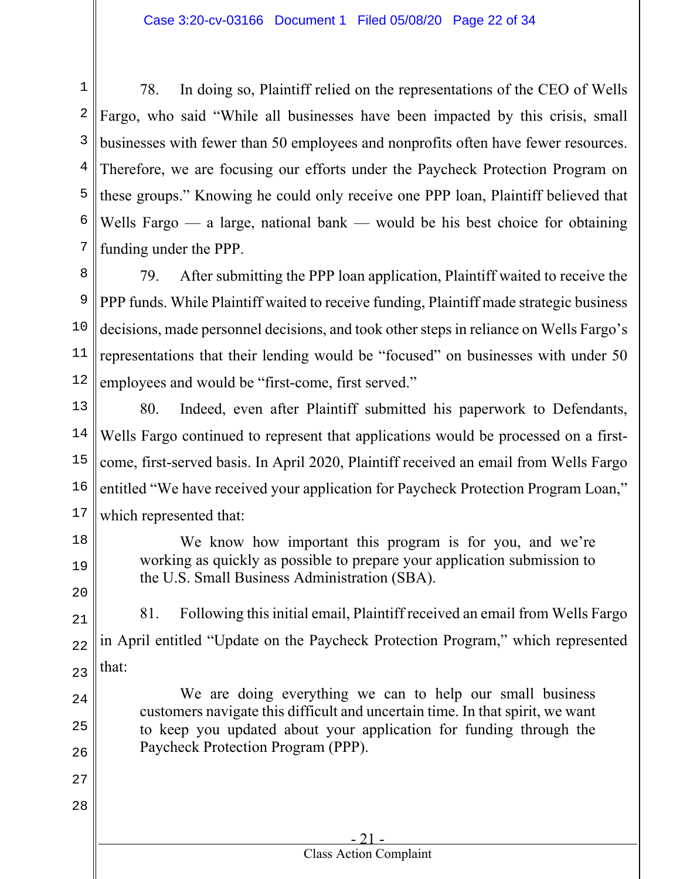1 2 3 4 5 6 7 78. In doing so, Plaintiff relied on the representations of the CEO of Wells Fargo, who said "While all businesses have been impacted by this crisis, small businesses with fewer than 50 employees and nonprofits often have fewer resources. Therefore, we are focusing our efforts under the Paycheck Protection Program on these groups." Knowing he could only receive one PPP loan, Plaintiff believed that Wells Fargo  $\frac{1}{x}$  a large, national bank  $\frac{1}{x}$  would be his best choice for obtaining funding under the PPP.

8 9 10 11 12 79. After submitting the PPP loan application, Plaintiff waited to receive the PPP funds. While Plaintiff waited to receive funding, Plaintiff made strategic business decisions, made personnel decisions, and took other steps in reliance on Wells Fargo's representations that their lending would be "focused" on businesses with under 50 employees and would be "first-come, first served."

13 14 15 16 17 80. Indeed, even after Plaintiff submitted his paperwork to Defendants, Wells Fargo continued to represent that applications would be processed on a firstcome, first-served basis. In April 2020, Plaintiff received an email from Wells Fargo entitled "We have received your application for Paycheck Protection Program Loan," which represented that:

We know how important this program is for you, and we're working as quickly as possible to prepare your application submission to the U.S. Small Business Administration (SBA).

21 22 23 81. Following this initial email, Plaintiff received an email from Wells Fargo in April entitled "Update on the Paycheck Protection Program," which represented that:

We are doing everything we can to help our small business customers navigate this difficult and uncertain time. In that spirit, we want to keep you updated about your application for funding through the Paycheck Protection Program (PPP).

> - 21 - Class Action Complaint

18

19

20

24

25

26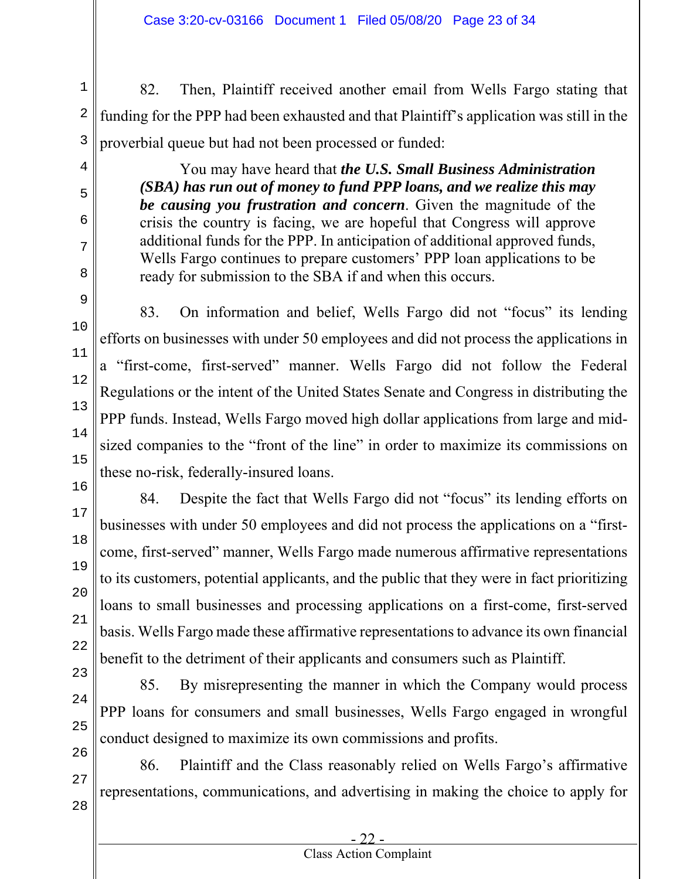1 2 3 82. Then, Plaintiff received another email from Wells Fargo stating that funding for the PPP had been exhausted and that Plaintiff's application was still in the proverbial queue but had not been processed or funded:

> You may have heard that *the U.S. Small Business Administration (SBA) has run out of money to fund PPP loans, and we realize this may be causing you frustration and concern*. Given the magnitude of the crisis the country is facing, we are hopeful that Congress will approve additional funds for the PPP. In anticipation of additional approved funds, Wells Fargo continues to prepare customers' PPP loan applications to be ready for submission to the SBA if and when this occurs.

83. On information and belief, Wells Fargo did not "focus" its lending efforts on businesses with under 50 employees and did not process the applications in a "first-come, first-served" manner. Wells Fargo did not follow the Federal Regulations or the intent of the United States Senate and Congress in distributing the PPP funds. Instead, Wells Fargo moved high dollar applications from large and midsized companies to the "front of the line" in order to maximize its commissions on these no-risk, federally-insured loans.

84. Despite the fact that Wells Fargo did not "focus" its lending efforts on businesses with under 50 employees and did not process the applications on a "firstcome, first-served" manner, Wells Fargo made numerous affirmative representations to its customers, potential applicants, and the public that they were in fact prioritizing loans to small businesses and processing applications on a first-come, first-served basis. Wells Fargo made these affirmative representations to advance its own financial benefit to the detriment of their applicants and consumers such as Plaintiff.

85. By misrepresenting the manner in which the Company would process PPP loans for consumers and small businesses, Wells Fargo engaged in wrongful conduct designed to maximize its own commissions and profits.

86. Plaintiff and the Class reasonably relied on Wells Fargo's affirmative representations, communications, and advertising in making the choice to apply for

4

5

6

7

8

9

10

11

28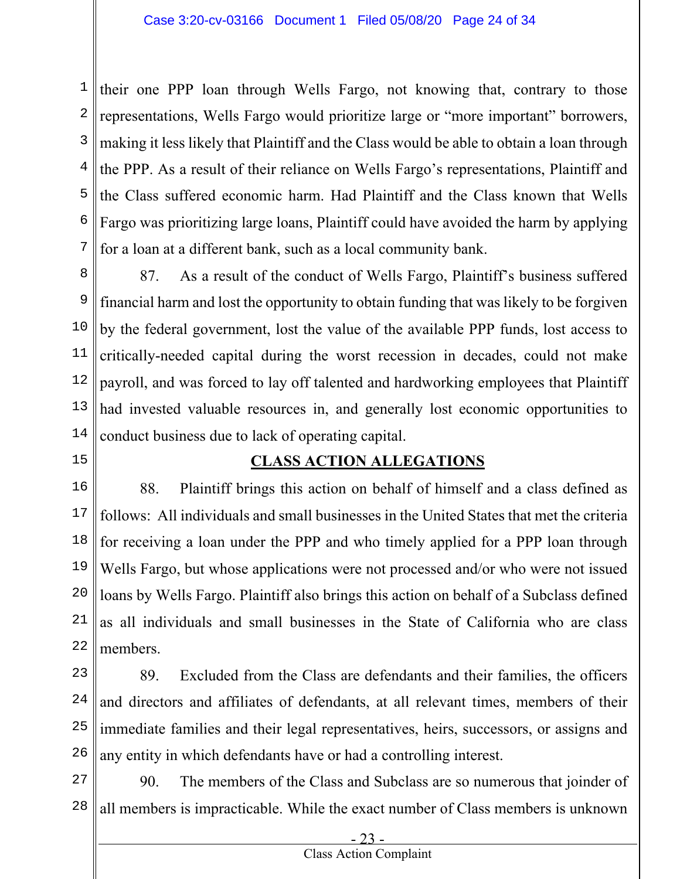1 2 3 4 5 6 7 their one PPP loan through Wells Fargo, not knowing that, contrary to those representations, Wells Fargo would prioritize large or "more important" borrowers, making it less likely that Plaintiff and the Class would be able to obtain a loan through the PPP. As a result of their reliance on Wells Fargo's representations, Plaintiff and the Class suffered economic harm. Had Plaintiff and the Class known that Wells Fargo was prioritizing large loans, Plaintiff could have avoided the harm by applying for a loan at a different bank, such as a local community bank.

8 9 10 11 12 13 14 87. As a result of the conduct of Wells Fargo, Plaintiff's business suffered financial harm and lost the opportunity to obtain funding that was likely to be forgiven by the federal government, lost the value of the available PPP funds, lost access to critically-needed capital during the worst recession in decades, could not make payroll, and was forced to lay off talented and hardworking employees that Plaintiff had invested valuable resources in, and generally lost economic opportunities to conduct business due to lack of operating capital.

**CLASS ACTION ALLEGATIONS** 

15

16 17 18 19 20 21 22 88. Plaintiff brings this action on behalf of himself and a class defined as follows: All individuals and small businesses in the United States that met the criteria for receiving a loan under the PPP and who timely applied for a PPP loan through Wells Fargo, but whose applications were not processed and/or who were not issued loans by Wells Fargo. Plaintiff also brings this action on behalf of a Subclass defined as all individuals and small businesses in the State of California who are class members.

23 24 25 26 89. Excluded from the Class are defendants and their families, the officers and directors and affiliates of defendants, at all relevant times, members of their immediate families and their legal representatives, heirs, successors, or assigns and any entity in which defendants have or had a controlling interest.

27 28 90. The members of the Class and Subclass are so numerous that joinder of all members is impracticable. While the exact number of Class members is unknown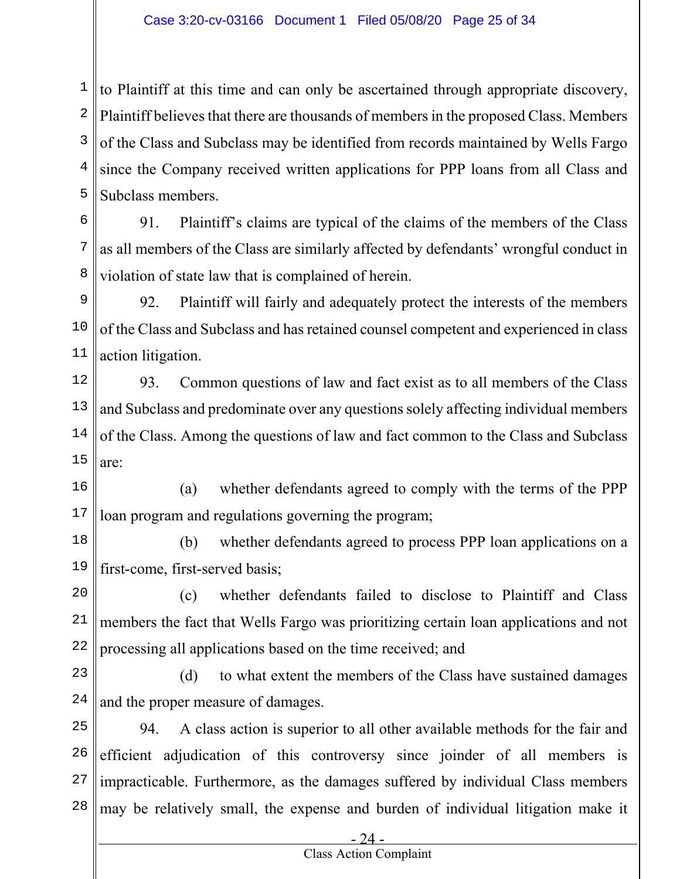1 2 3 4 5  $\parallel$  to Plaintiff at this time and can only be ascertained through appropriate discovery, Plaintiff believes that there are thousands of members in the proposed Class. Members of the Class and Subclass may be identified from records maintained by Wells Fargo since the Company received written applications for PPP loans from all Class and Subclass members.

6 7 8 91. Plaintiff's claims are typical of the claims of the members of the Class as all members of the Class are similarly affected by defendants' wrongful conduct in violation of state law that is complained of herein.

9 10 11 92. Plaintiff will fairly and adequately protect the interests of the members of the Class and Subclass and has retained counsel competent and experienced in class action litigation.

12 13 14 15 93. Common questions of law and fact exist as to all members of the Class and Subclass and predominate over any questions solely affecting individual members of the Class. Among the questions of law and fact common to the Class and Subclass are:

16 17 (a) whether defendants agreed to comply with the terms of the PPP loan program and regulations governing the program;

18 19 (b) whether defendants agreed to process PPP loan applications on a first-come, first-served basis;

20 21 22 (c) whether defendants failed to disclose to Plaintiff and Class members the fact that Wells Fargo was prioritizing certain loan applications and not processing all applications based on the time received; and

23 24 (d) to what extent the members of the Class have sustained damages and the proper measure of damages.

25 26 27 28 94. A class action is superior to all other available methods for the fair and efficient adjudication of this controversy since joinder of all members is impracticable. Furthermore, as the damages suffered by individual Class members may be relatively small, the expense and burden of individual litigation make it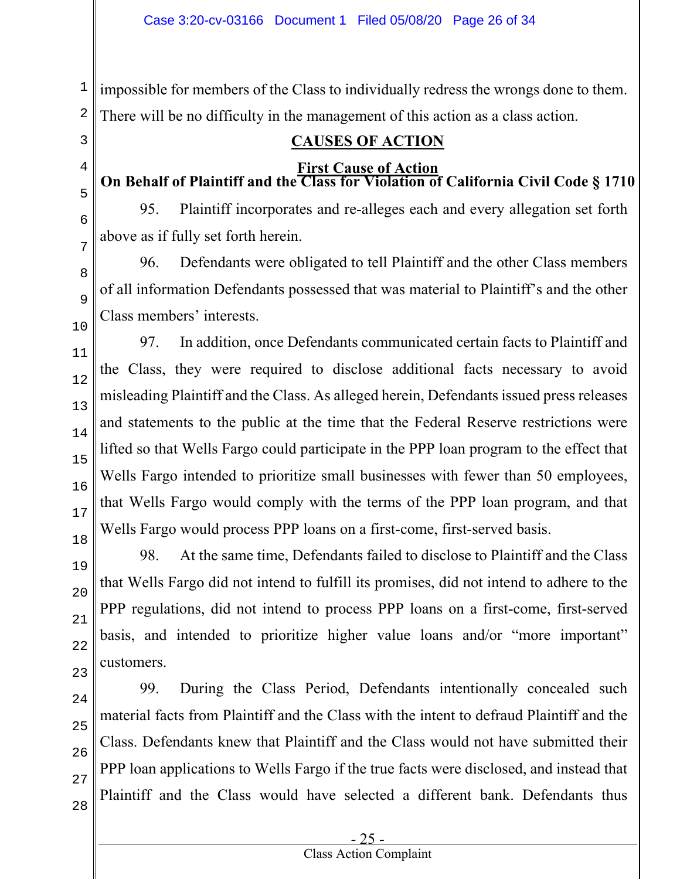1 2 impossible for members of the Class to individually redress the wrongs done to them. There will be no difficulty in the management of this action as a class action.

# 3 4

# **CAUSES OF ACTION**

### **First Cause of Action On Behalf of Plaintiff and the Class for Violation of California Civil Code § 1710**

95. Plaintiff incorporates and re-alleges each and every allegation set forth above as if fully set forth herein.

96. Defendants were obligated to tell Plaintiff and the other Class members of all information Defendants possessed that was material to Plaintiff's and the other Class members' interests.

97. In addition, once Defendants communicated certain facts to Plaintiff and the Class, they were required to disclose additional facts necessary to avoid misleading Plaintiff and the Class. As alleged herein, Defendants issued press releases and statements to the public at the time that the Federal Reserve restrictions were lifted so that Wells Fargo could participate in the PPP loan program to the effect that Wells Fargo intended to prioritize small businesses with fewer than 50 employees, that Wells Fargo would comply with the terms of the PPP loan program, and that Wells Fargo would process PPP loans on a first-come, first-served basis.

98. At the same time, Defendants failed to disclose to Plaintiff and the Class that Wells Fargo did not intend to fulfill its promises, did not intend to adhere to the PPP regulations, did not intend to process PPP loans on a first-come, first-served basis, and intended to prioritize higher value loans and/or "more important" customers.

99. During the Class Period, Defendants intentionally concealed such material facts from Plaintiff and the Class with the intent to defraud Plaintiff and the Class. Defendants knew that Plaintiff and the Class would not have submitted their PPP loan applications to Wells Fargo if the true facts were disclosed, and instead that Plaintiff and the Class would have selected a different bank. Defendants thus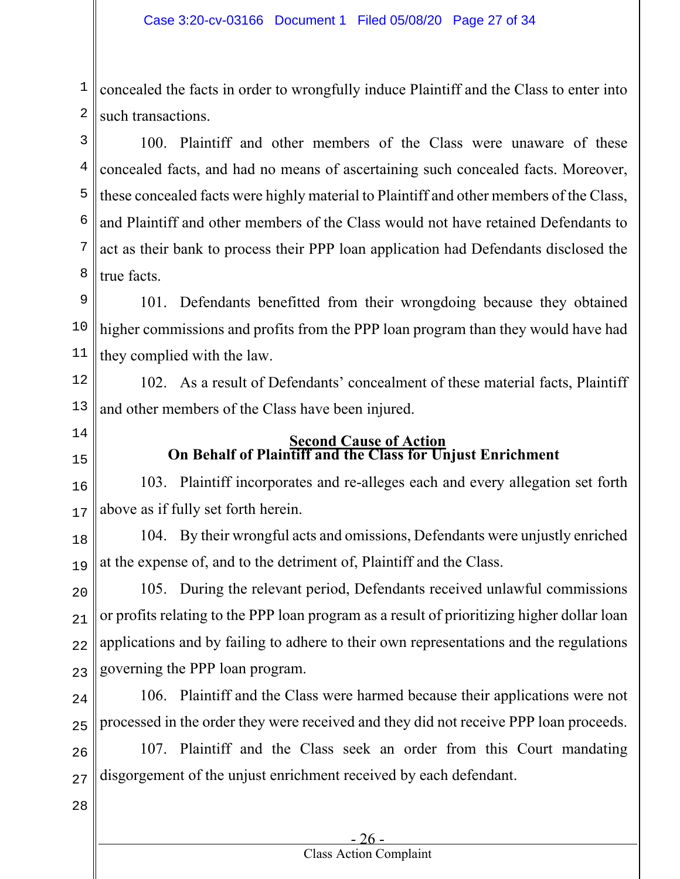1 2 concealed the facts in order to wrongfully induce Plaintiff and the Class to enter into such transactions.

3 4 5 6 7 8 100. Plaintiff and other members of the Class were unaware of these concealed facts, and had no means of ascertaining such concealed facts. Moreover, these concealed facts were highly material to Plaintiff and other members of the Class, and Plaintiff and other members of the Class would not have retained Defendants to act as their bank to process their PPP loan application had Defendants disclosed the true facts.

9 10 11 101. Defendants benefitted from their wrongdoing because they obtained higher commissions and profits from the PPP loan program than they would have had they complied with the law.

12 13 102. As a result of Defendants' concealment of these material facts, Plaintiff and other members of the Class have been injured.

- 14
- 15

### **Second Cause of Action On Behalf of Plaintiff and the Class for Unjust Enrichment**

16 17 103. Plaintiff incorporates and re-alleges each and every allegation set forth above as if fully set forth herein.

18 19 104. By their wrongful acts and omissions, Defendants were unjustly enriched at the expense of, and to the detriment of, Plaintiff and the Class.

 $20$ 21 22 23 105. During the relevant period, Defendants received unlawful commissions or profits relating to the PPP loan program as a result of prioritizing higher dollar loan applications and by failing to adhere to their own representations and the regulations governing the PPP loan program.

24

25

106. Plaintiff and the Class were harmed because their applications were not processed in the order they were received and they did not receive PPP loan proceeds.

26 27 107. Plaintiff and the Class seek an order from this Court mandating disgorgement of the unjust enrichment received by each defendant.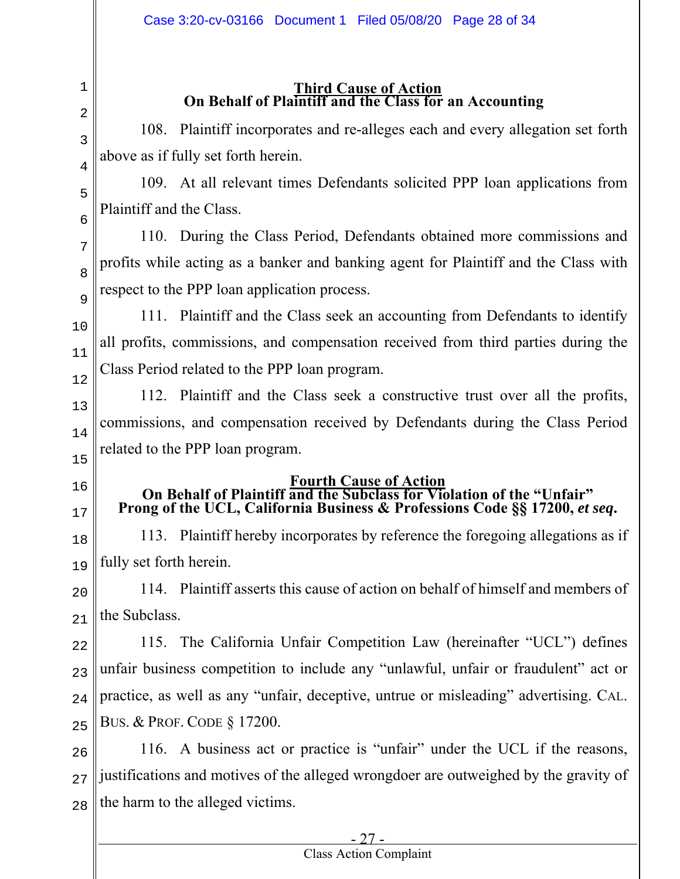### **Third Cause of Action On Behalf of Plaintiff and the Class for an Accounting**

108. Plaintiff incorporates and re-alleges each and every allegation set forth above as if fully set forth herein.

109. At all relevant times Defendants solicited PPP loan applications from Plaintiff and the Class.

110. During the Class Period, Defendants obtained more commissions and profits while acting as a banker and banking agent for Plaintiff and the Class with respect to the PPP loan application process.

10 11 12 111. Plaintiff and the Class seek an accounting from Defendants to identify all profits, commissions, and compensation received from third parties during the Class Period related to the PPP loan program.

13 14 15 112. Plaintiff and the Class seek a constructive trust over all the profits, commissions, and compensation received by Defendants during the Class Period related to the PPP loan program.

16

1

2

3

4

5

6

7

8

9

17

**Fourth Cause of Action On Behalf of Plaintiff and the Subclass for Violation of the "Unfair" Prong of the UCL, California Business & Professions Code §§ 17200,** *et seq***.** 

18 19 113. Plaintiff hereby incorporates by reference the foregoing allegations as if fully set forth herein.

20 21 114. Plaintiff asserts this cause of action on behalf of himself and members of the Subclass.

22 23 24 25 115. The California Unfair Competition Law (hereinafter "UCL") defines unfair business competition to include any "unlawful, unfair or fraudulent" act or practice, as well as any "unfair, deceptive, untrue or misleading" advertising. CAL. BUS. & PROF. CODE § 17200.

26 27 28 116. A business act or practice is "unfair" under the UCL if the reasons, justifications and motives of the alleged wrongdoer are outweighed by the gravity of the harm to the alleged victims.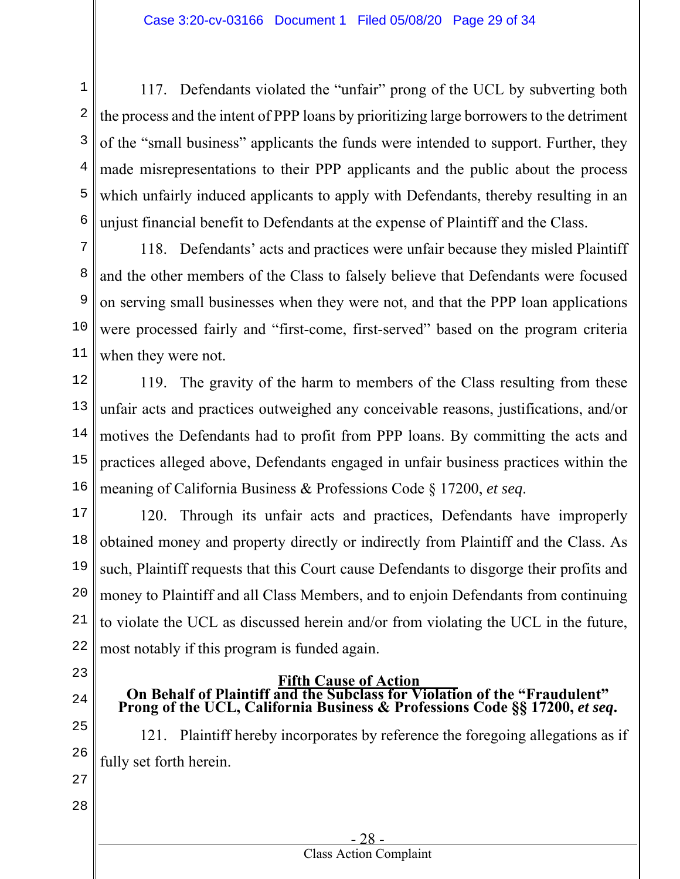1 2 3 4 5 6 117. Defendants violated the "unfair" prong of the UCL by subverting both the process and the intent of PPP loans by prioritizing large borrowers to the detriment of the "small business" applicants the funds were intended to support. Further, they made misrepresentations to their PPP applicants and the public about the process which unfairly induced applicants to apply with Defendants, thereby resulting in an unjust financial benefit to Defendants at the expense of Plaintiff and the Class.

7 8 9 10 11 118. Defendants' acts and practices were unfair because they misled Plaintiff and the other members of the Class to falsely believe that Defendants were focused on serving small businesses when they were not, and that the PPP loan applications were processed fairly and "first-come, first-served" based on the program criteria when they were not.

12 13 14 15 16 119. The gravity of the harm to members of the Class resulting from these unfair acts and practices outweighed any conceivable reasons, justifications, and/or motives the Defendants had to profit from PPP loans. By committing the acts and practices alleged above, Defendants engaged in unfair business practices within the meaning of California Business & Professions Code § 17200, *et seq*.

17 18 19 20 21 22 120. Through its unfair acts and practices, Defendants have improperly obtained money and property directly or indirectly from Plaintiff and the Class. As such, Plaintiff requests that this Court cause Defendants to disgorge their profits and money to Plaintiff and all Class Members, and to enjoin Defendants from continuing to violate the UCL as discussed herein and/or from violating the UCL in the future, most notably if this program is funded again.

23

24

- 
- **Fifth Cause of Action On Behalf of Plaintiff and the Subclass for Violation of the "Fraudulent" Prong of the UCL, California Business & Professions Code §§ 17200,** *et seq***.**

25 26 121. Plaintiff hereby incorporates by reference the foregoing allegations as if fully set forth herein.

- 27
- 28

#### - 28 - Class Action Complaint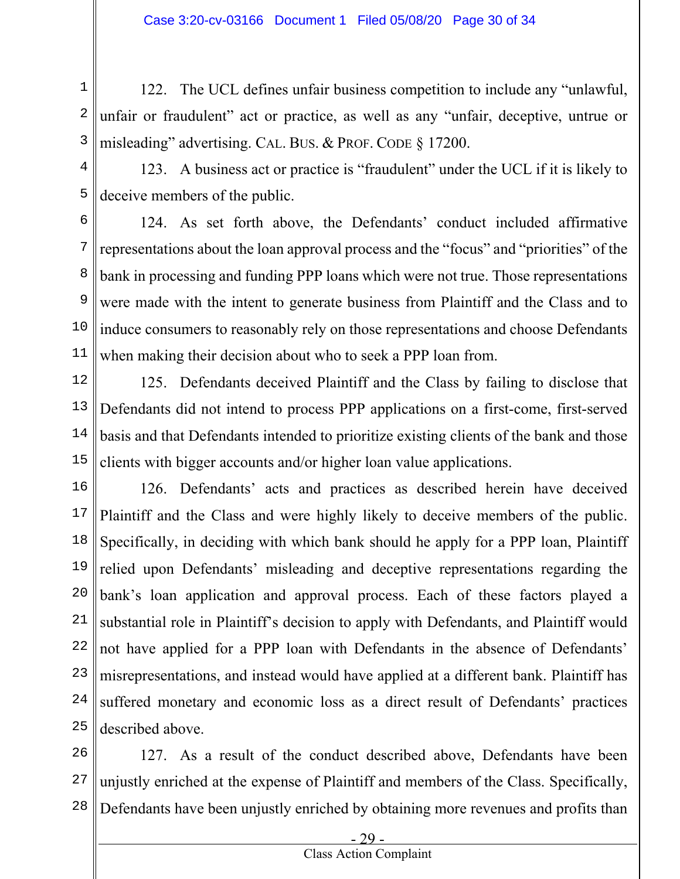1 2 3 122. The UCL defines unfair business competition to include any "unlawful, unfair or fraudulent" act or practice, as well as any "unfair, deceptive, untrue or misleading" advertising. CAL. BUS. & PROF. CODE § 17200.

4 5 123. A business act or practice is "fraudulent" under the UCL if it is likely to deceive members of the public.

6 7 8 9 10 11 124. As set forth above, the Defendants' conduct included affirmative representations about the loan approval process and the "focus" and "priorities" of the bank in processing and funding PPP loans which were not true. Those representations were made with the intent to generate business from Plaintiff and the Class and to induce consumers to reasonably rely on those representations and choose Defendants when making their decision about who to seek a PPP loan from.

12 13 14 15 125. Defendants deceived Plaintiff and the Class by failing to disclose that Defendants did not intend to process PPP applications on a first-come, first-served basis and that Defendants intended to prioritize existing clients of the bank and those clients with bigger accounts and/or higher loan value applications.

16 17 18 19 20 21 22 23 24 25 126. Defendants' acts and practices as described herein have deceived Plaintiff and the Class and were highly likely to deceive members of the public. Specifically, in deciding with which bank should he apply for a PPP loan, Plaintiff relied upon Defendants' misleading and deceptive representations regarding the bank's loan application and approval process. Each of these factors played a substantial role in Plaintiff's decision to apply with Defendants, and Plaintiff would not have applied for a PPP loan with Defendants in the absence of Defendants' misrepresentations, and instead would have applied at a different bank. Plaintiff has suffered monetary and economic loss as a direct result of Defendants' practices described above.

26 27 28 127. As a result of the conduct described above, Defendants have been unjustly enriched at the expense of Plaintiff and members of the Class. Specifically, Defendants have been unjustly enriched by obtaining more revenues and profits than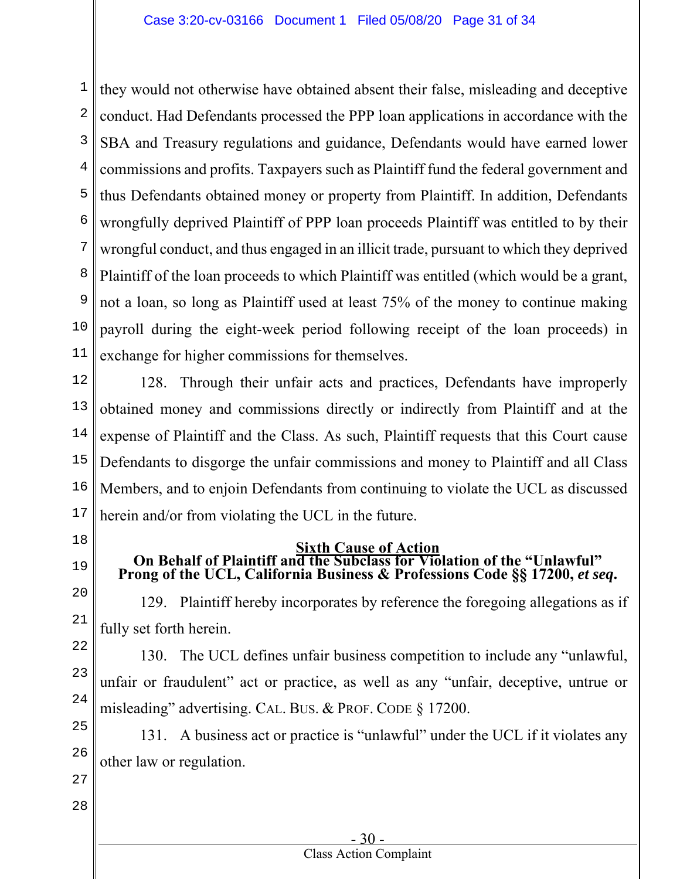1 2 3 4 5 6 7 8 9 10 11 they would not otherwise have obtained absent their false, misleading and deceptive conduct. Had Defendants processed the PPP loan applications in accordance with the SBA and Treasury regulations and guidance, Defendants would have earned lower commissions and profits. Taxpayers such as Plaintiff fund the federal government and thus Defendants obtained money or property from Plaintiff. In addition, Defendants wrongfully deprived Plaintiff of PPP loan proceeds Plaintiff was entitled to by their wrongful conduct, and thus engaged in an illicit trade, pursuant to which they deprived Plaintiff of the loan proceeds to which Plaintiff was entitled (which would be a grant, not a loan, so long as Plaintiff used at least 75% of the money to continue making payroll during the eight-week period following receipt of the loan proceeds) in exchange for higher commissions for themselves.

12 13 14 15 16 17 128. Through their unfair acts and practices, Defendants have improperly obtained money and commissions directly or indirectly from Plaintiff and at the expense of Plaintiff and the Class. As such, Plaintiff requests that this Court cause Defendants to disgorge the unfair commissions and money to Plaintiff and all Class Members, and to enjoin Defendants from continuing to violate the UCL as discussed herein and/or from violating the UCL in the future.

- 18
- 19

20

21

23

#### **Sixth Cause of Action On Behalf of Plaintiff and the Subclass for Violation of the "Unlawful"**

# Prong of the UCL, California Business & Professions Code §§ 17200, *et seq*.

129. Plaintiff hereby incorporates by reference the foregoing allegations as if fully set forth herein.

22 24 130. The UCL defines unfair business competition to include any "unlawful, unfair or fraudulent" act or practice, as well as any "unfair, deceptive, untrue or misleading" advertising. CAL. BUS. & PROF. CODE § 17200.

25 26 131. A business act or practice is "unlawful" under the UCL if it violates any other law or regulation.

27 28

 $-30$ 

### Class Action Complaint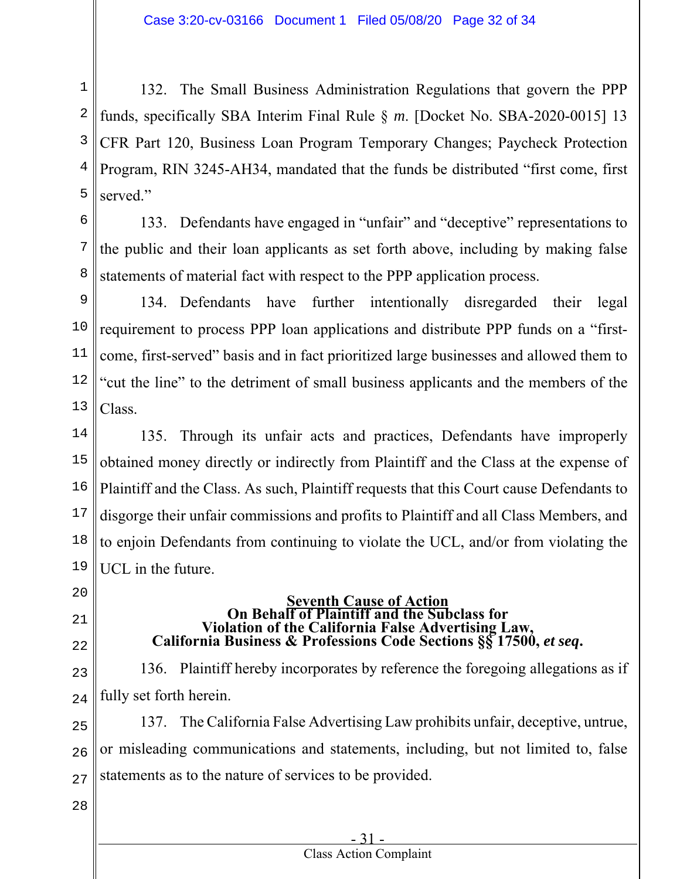1 2 3 4 5 132. The Small Business Administration Regulations that govern the PPP funds, specifically SBA Interim Final Rule § *m*. [Docket No. SBA-2020-0015] 13 CFR Part 120, Business Loan Program Temporary Changes; Paycheck Protection Program, RIN 3245-AH34, mandated that the funds be distributed "first come, first served."

6 7 8 133. Defendants have engaged in "unfair" and "deceptive" representations to the public and their loan applicants as set forth above, including by making false statements of material fact with respect to the PPP application process.

9 10 11 12 13 134. Defendants have further intentionally disregarded their legal requirement to process PPP loan applications and distribute PPP funds on a "firstcome, first-served" basis and in fact prioritized large businesses and allowed them to "cut the line" to the detriment of small business applicants and the members of the Class.

14 15 16 17 18 19 135. Through its unfair acts and practices, Defendants have improperly obtained money directly or indirectly from Plaintiff and the Class at the expense of Plaintiff and the Class. As such, Plaintiff requests that this Court cause Defendants to disgorge their unfair commissions and profits to Plaintiff and all Class Members, and to enjoin Defendants from continuing to violate the UCL, and/or from violating the UCL in the future.

20

- 21
- 22
- 

**Seventh Cause of Action On Behalf of Plaintiff and the Subclass for California Business & Professions Code Sections**  $\S\$  **17500,** *et seq***.** 

23 24 136. Plaintiff hereby incorporates by reference the foregoing allegations as if fully set forth herein.

25 26 27 137. The California False Advertising Law prohibits unfair, deceptive, untrue, or misleading communications and statements, including, but not limited to, false statements as to the nature of services to be provided.

28

#### - 31 - Class Action Complaint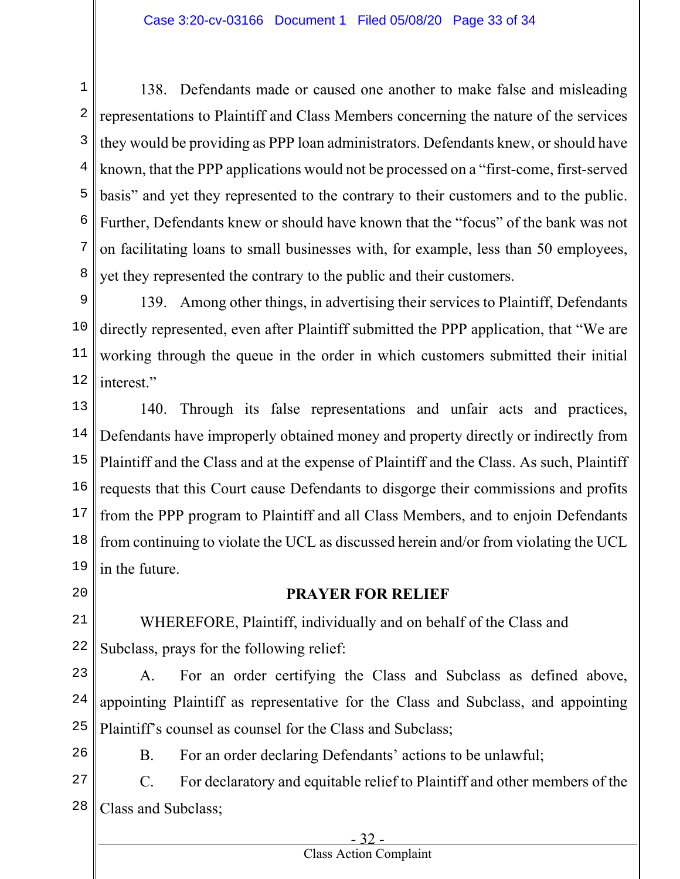1 2 3 4 5 6 7 8 138. Defendants made or caused one another to make false and misleading representations to Plaintiff and Class Members concerning the nature of the services they would be providing as PPP loan administrators. Defendants knew, or should have known, that the PPP applications would not be processed on a "first-come, first-served basis" and yet they represented to the contrary to their customers and to the public. Further, Defendants knew or should have known that the "focus" of the bank was not on facilitating loans to small businesses with, for example, less than 50 employees, yet they represented the contrary to the public and their customers.

9 10 11 12 139. Among other things, in advertising their services to Plaintiff, Defendants directly represented, even after Plaintiff submitted the PPP application, that "We are working through the queue in the order in which customers submitted their initial interest."

13 14 15 16 17 18 19 140. Through its false representations and unfair acts and practices, Defendants have improperly obtained money and property directly or indirectly from Plaintiff and the Class and at the expense of Plaintiff and the Class. As such, Plaintiff requests that this Court cause Defendants to disgorge their commissions and profits from the PPP program to Plaintiff and all Class Members, and to enjoin Defendants from continuing to violate the UCL as discussed herein and/or from violating the UCL in the future.

20

## **PRAYER FOR RELIEF**

21 22 WHEREFORE, Plaintiff, individually and on behalf of the Class and Subclass, prays for the following relief:

23 24 25 A. For an order certifying the Class and Subclass as defined above, appointing Plaintiff as representative for the Class and Subclass, and appointing Plaintiff's counsel as counsel for the Class and Subclass;

26

B. For an order declaring Defendants' actions to be unlawful;

27 28 C. For declaratory and equitable relief to Plaintiff and other members of the Class and Subclass;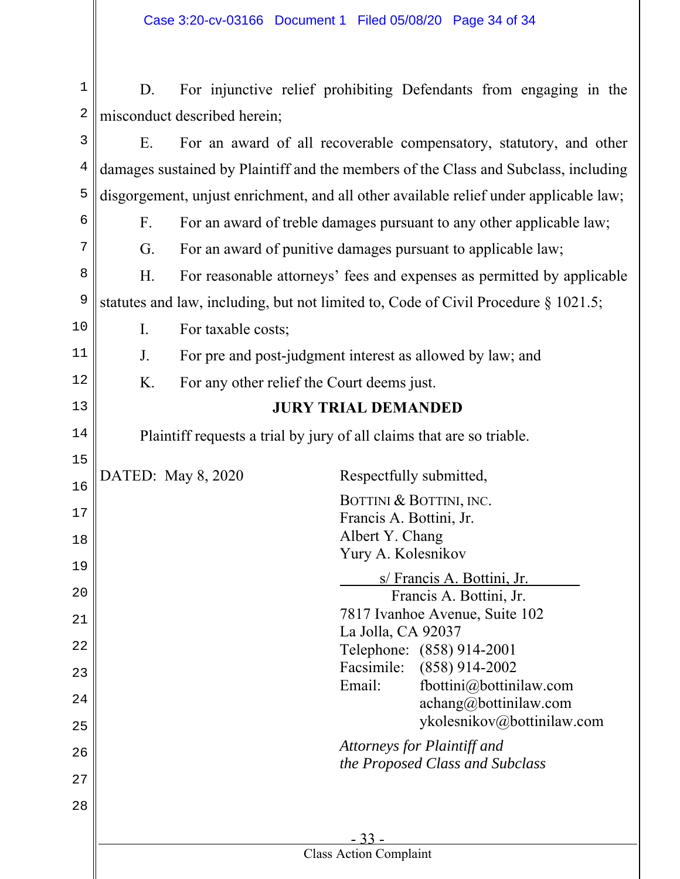| $1\,$ | D.                           | For injunctive relief prohibiting Defendants from engaging in the                      |  |  |  |  |  |  |  |  |
|-------|------------------------------|----------------------------------------------------------------------------------------|--|--|--|--|--|--|--|--|
| 2     | misconduct described herein; |                                                                                        |  |  |  |  |  |  |  |  |
| 3     | E.                           | For an award of all recoverable compensatory, statutory, and other                     |  |  |  |  |  |  |  |  |
| 4     |                              | damages sustained by Plaintiff and the members of the Class and Subclass, including    |  |  |  |  |  |  |  |  |
| 5     |                              | disgorgement, unjust enrichment, and all other available relief under applicable law;  |  |  |  |  |  |  |  |  |
| 6     | $F_{\cdot}$                  | For an award of treble damages pursuant to any other applicable law;                   |  |  |  |  |  |  |  |  |
| 7     | G.                           | For an award of punitive damages pursuant to applicable law;                           |  |  |  |  |  |  |  |  |
| 8     | Η.                           | For reasonable attorneys' fees and expenses as permitted by applicable                 |  |  |  |  |  |  |  |  |
| 9     |                              | statutes and law, including, but not limited to, Code of Civil Procedure $\S 1021.5$ ; |  |  |  |  |  |  |  |  |
| 10    | Ι.                           | For taxable costs;                                                                     |  |  |  |  |  |  |  |  |
| 11    | J.                           | For pre and post-judgment interest as allowed by law; and                              |  |  |  |  |  |  |  |  |
| 12    | K.                           | For any other relief the Court deems just.                                             |  |  |  |  |  |  |  |  |
| 13    |                              | <b>JURY TRIAL DEMANDED</b>                                                             |  |  |  |  |  |  |  |  |
| 14    |                              | Plaintiff requests a trial by jury of all claims that are so triable.                  |  |  |  |  |  |  |  |  |
| 15    |                              | DATED: May 8, 2020<br>Respectfully submitted,                                          |  |  |  |  |  |  |  |  |
| 16    |                              | BOTTINI & BOTTINI, INC.                                                                |  |  |  |  |  |  |  |  |
| 17    |                              | Francis A. Bottini, Jr.                                                                |  |  |  |  |  |  |  |  |
| 18    |                              | Albert Y. Chang<br>Yury A. Kolesnikov                                                  |  |  |  |  |  |  |  |  |
| 19    |                              | s/ Francis A. Bottini, Jr.                                                             |  |  |  |  |  |  |  |  |
| 20    |                              | Francis A. Bottini, Jr.                                                                |  |  |  |  |  |  |  |  |
| 21    |                              | 7817 Ivanhoe Avenue, Suite 102<br>La Jolla, CA 92037                                   |  |  |  |  |  |  |  |  |
| 22    |                              | Telephone: (858) 914-2001<br>Facsimile: (858) 914-2002                                 |  |  |  |  |  |  |  |  |
| 23    |                              | Email:<br>fbottini@bottinilaw.com                                                      |  |  |  |  |  |  |  |  |
| 24    |                              | achang@bottinilaw.com<br>ykolesnikov@bottinilaw.com                                    |  |  |  |  |  |  |  |  |
| 25    |                              | Attorneys for Plaintiff and                                                            |  |  |  |  |  |  |  |  |
| 26    |                              | the Proposed Class and Subclass                                                        |  |  |  |  |  |  |  |  |
| 27    |                              |                                                                                        |  |  |  |  |  |  |  |  |
| 28    |                              |                                                                                        |  |  |  |  |  |  |  |  |
|       |                              | $-33-$<br><b>Class Action Complaint</b>                                                |  |  |  |  |  |  |  |  |
|       |                              |                                                                                        |  |  |  |  |  |  |  |  |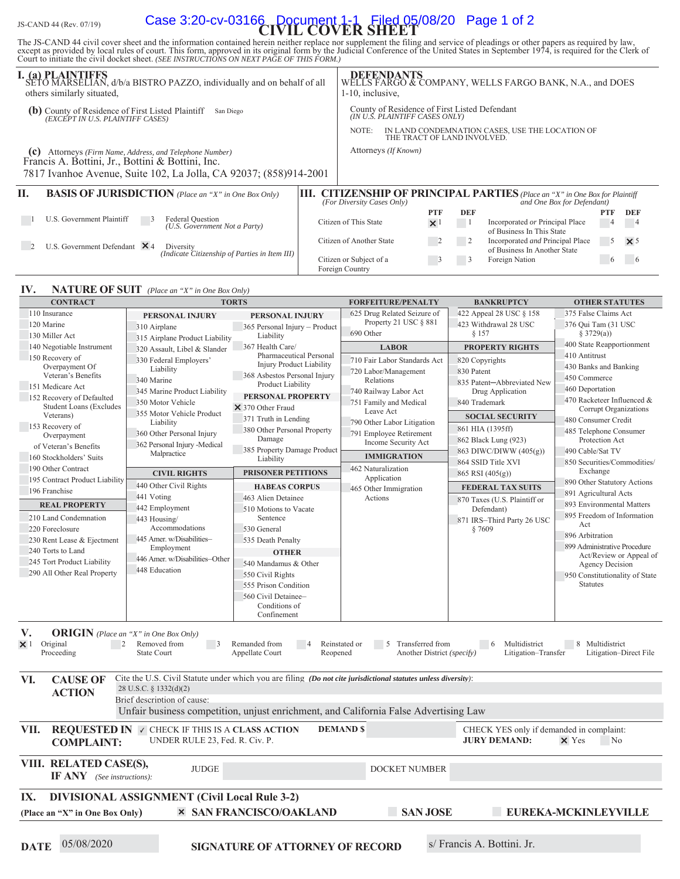# JS-CAND 44 (Rev. 07/19) **Case 3:20-cv-03166** Document 1-1 Filed 05/08/20 Page 1 of 2

The JS-CAND 44 civil cover sheet and the information contained herein neither replace nor supplement the filing and service of pleadings or other papers as required by law, except as provided by local rules of court. This

| I. (a) PLAINTIFFS<br>SETO MARSELIAN, d/b/a BISTRO PAZZO, individually and on behalf of all<br>others similarly situated, |                                                                                                              |                                                                   |  | 1-10, inclusive.                                                       |                                                                                 |                      |     | DEFENDANTS WELLS FARGO BANK, N.A., and DOES WELLS FARGO & COMPANY, WELLS FARGO BANK, N.A., and DOES               |            |                       |
|--------------------------------------------------------------------------------------------------------------------------|--------------------------------------------------------------------------------------------------------------|-------------------------------------------------------------------|--|------------------------------------------------------------------------|---------------------------------------------------------------------------------|----------------------|-----|-------------------------------------------------------------------------------------------------------------------|------------|-----------------------|
| (b) County of Residence of First Listed Plaintiff ( <i>EXCEPT IN U.S. PLAINTIFF CASES</i> )<br>San Diego                 |                                                                                                              |                                                                   |  |                                                                        | County of Residence of First Listed Defendant<br>(IN U.Š. PLAINTIFF CASES ONLY) |                      |     |                                                                                                                   |            |                       |
|                                                                                                                          |                                                                                                              |                                                                   |  | NOTE:                                                                  | THE TRACT OF LAND INVOLVED.                                                     |                      |     | IN LAND CONDEMNATION CASES, USE THE LOCATION OF                                                                   |            |                       |
|                                                                                                                          | (c) Attorneys (Firm Name, Address, and Telephone Number)<br>Francis A. Bottini, Jr., Bottini & Bottini, Inc. | 7817 Ivanhoe Avenue, Suite 102, La Jolla, CA 92037; (858)914-2001 |  |                                                                        | Attorneys (If Known)                                                            |                      |     |                                                                                                                   |            |                       |
| Н.                                                                                                                       |                                                                                                              | <b>BASIS OF JURISDICTION</b> (Place an "X" in One Box Only)       |  | (For Diversity Cases Only)                                             |                                                                                 |                      |     | <b>III. CITIZENSHIP OF PRINCIPAL PARTIES</b> (Place an "X" in One Box for Plaintiff<br>and One Box for Defendant) |            |                       |
|                                                                                                                          |                                                                                                              |                                                                   |  |                                                                        |                                                                                 | <b>PTF</b>           | DEF |                                                                                                                   | <b>PTF</b> | <b>DEF</b>            |
|                                                                                                                          | U.S. Government Plaintiff                                                                                    | Federal Question<br>(U.S. Government Not a Party)                 |  | Citizen of This State                                                  |                                                                                 | $\times$ 1           |     | Incorporated or Principal Place<br>of Business In This State                                                      |            |                       |
|                                                                                                                          | U.S. Government Defendant $\times$ 4                                                                         | Diversity<br>(Indicate Citizenship of Parties in Item III)        |  | Citizen of Another State                                               |                                                                                 |                      | 2   | Incorporated and Principal Place<br>of Business In Another State                                                  | 5          | $\times$ 5            |
|                                                                                                                          |                                                                                                              |                                                                   |  | $C(L_{\text{max}} - L_{\text{max}} - L_{\text{max}} - L_{\text{max}})$ |                                                                                 | $\sim$ $\sim$ $\sim$ |     | $\Gamma$ and a $\Lambda$ and a $\sim$                                                                             |            | $\epsilon$ $\epsilon$ |

Foreign Country

Citizen or Subject of a 3 3 Foreign Nation 6 6 6

#### **IV. NATURE OF SUIT** (Place an "X" in One Box Only)

| <b>CONTRACT</b>                      |                                                       | <b>TORTS</b>                                                                                                   | <b>FORFEITURE/PENALTY</b>                      | <b>BANKRUPTCY</b>                        | <b>OTHER STATUTES</b>                                   |
|--------------------------------------|-------------------------------------------------------|----------------------------------------------------------------------------------------------------------------|------------------------------------------------|------------------------------------------|---------------------------------------------------------|
| 110 Insurance                        | PERSONAL INJURY                                       | PERSONAL INJURY                                                                                                | 625 Drug Related Seizure of                    | 422 Appeal 28 USC § 158                  | 375 False Claims Act                                    |
| 120 Marine                           | 310 Airplane                                          | 365 Personal Injury - Product                                                                                  | Property 21 USC § 881                          | 423 Withdrawal 28 USC                    | 376 Qui Tam (31 USC                                     |
| 130 Miller Act                       | 315 Airplane Product Liability                        | Liability                                                                                                      | 690 Other                                      | \$157                                    | § 3729(a))                                              |
| 140 Negotiable Instrument            | 320 Assault, Libel & Slander                          | 367 Health Care/                                                                                               | <b>LABOR</b>                                   | <b>PROPERTY RIGHTS</b>                   | 400 State Reapportionment                               |
| 150 Recovery of                      | 330 Federal Employers'                                | Pharmaceutical Personal<br><b>Injury Product Liability</b>                                                     | 710 Fair Labor Standards Act                   | 820 Copyrights                           | 410 Antitrust                                           |
| Overpayment Of<br>Veteran's Benefits | Liability                                             |                                                                                                                | 720 Labor/Management                           | 830 Patent                               | 430 Banks and Banking                                   |
| 151 Medicare Act                     | 340 Marine                                            | 368 Asbestos Personal Injury<br>Product Liability                                                              | Relations                                      | 835 Patent-Abbreviated New               | 450 Commerce                                            |
| 152 Recovery of Defaulted            | 345 Marine Product Liability                          | PERSONAL PROPERTY                                                                                              | 740 Railway Labor Act                          | Drug Application                         | 460 Deportation                                         |
| <b>Student Loans (Excludes</b>       | 350 Motor Vehicle                                     | × 370 Other Fraud                                                                                              | 751 Family and Medical                         | 840 Trademark                            | 470 Racketeer Influenced &<br>Corrupt Organizations     |
| Veterans)                            | 355 Motor Vehicle Product                             | 371 Truth in Lending                                                                                           | Leave Act                                      | <b>SOCIAL SECURITY</b>                   | 480 Consumer Credit                                     |
| 153 Recovery of                      | Liability                                             | 380 Other Personal Property                                                                                    | 790 Other Labor Litigation                     | 861 HIA (1395ff)                         | 485 Telephone Consumer                                  |
| Overpayment                          | 360 Other Personal Injury                             | Damage                                                                                                         | 791 Employee Retirement<br>Income Security Act | 862 Black Lung (923)                     | Protection Act                                          |
| of Veteran's Benefits                | 362 Personal Injury -Medical<br>Malpractice           | 385 Property Damage Product                                                                                    |                                                | 863 DIWC/DIWW $(405(g))$                 | 490 Cable/Sat TV                                        |
| 160 Stockholders' Suits              |                                                       | Liability                                                                                                      | <b>IMMIGRATION</b>                             | 864 SSID Title XVI                       | 850 Securities/Commodities/                             |
| 190 Other Contract                   | <b>CIVIL RIGHTS</b>                                   | <b>PRISONER PETITIONS</b>                                                                                      | 462 Naturalization                             | 865 RSI $(405(g))$                       | Exchange                                                |
| 195 Contract Product Liability       | 440 Other Civil Rights                                | <b>HABEAS CORPUS</b>                                                                                           | Application                                    | <b>FEDERAL TAX SUITS</b>                 | 890 Other Statutory Actions                             |
| 196 Franchise                        | 441 Voting                                            | 463 Alien Detainee                                                                                             | 465 Other Immigration<br>Actions               | 870 Taxes (U.S. Plaintiff or             | 891 Agricultural Acts                                   |
| <b>REAL PROPERTY</b>                 | 442 Employment                                        | 510 Motions to Vacate                                                                                          |                                                | Defendant)                               | 893 Environmental Matters                               |
| 210 Land Condemnation                | 443 Housing/                                          | Sentence                                                                                                       |                                                | 871 IRS-Third Party 26 USC               | 895 Freedom of Information                              |
| 220 Foreclosure                      | Accommodations                                        | 530 General                                                                                                    |                                                | §7609                                    | Act                                                     |
| 230 Rent Lease & Ejectment           | 445 Amer. w/Disabilities-                             | 535 Death Penalty                                                                                              |                                                |                                          | 896 Arbitration                                         |
| 240 Torts to Land                    | Employment                                            | <b>OTHER</b>                                                                                                   |                                                |                                          | 899 Administrative Procedure<br>Act/Review or Appeal of |
| 245 Tort Product Liability           | 446 Amer. w/Disabilities-Other                        | 540 Mandamus & Other                                                                                           |                                                |                                          | Agency Decision                                         |
| 290 All Other Real Property          | 448 Education                                         | 550 Civil Rights                                                                                               |                                                |                                          | 950 Constitutionality of State                          |
|                                      |                                                       | 555 Prison Condition                                                                                           |                                                |                                          | <b>Statutes</b>                                         |
|                                      |                                                       | 560 Civil Detainee-                                                                                            |                                                |                                          |                                                         |
|                                      |                                                       | Conditions of                                                                                                  |                                                |                                          |                                                         |
|                                      |                                                       | Confinement                                                                                                    |                                                |                                          |                                                         |
| V.                                   | <b>ORIGIN</b> (Place an "X" in One Box Only)          |                                                                                                                |                                                |                                          |                                                         |
| Original<br>$\times$ 1<br>2          | Removed from<br>$\overline{\phantom{a}}$ 3            | Remanded from                                                                                                  | Reinstated or<br>5 Transferred from            | $6\overline{6}$<br>Multidistrict         | 8 Multidistrict                                         |
| Proceeding                           | <b>State Court</b>                                    | Appellate Court<br>Reopened                                                                                    | Another District (specify)                     | Litigation-Transfer                      | Litigation-Direct File                                  |
|                                      |                                                       |                                                                                                                |                                                |                                          |                                                         |
| VI.<br><b>CAUSE OF</b>               |                                                       | Cite the U.S. Civil Statute under which you are filing (Do not cite jurisdictional statutes unless diversity): |                                                |                                          |                                                         |
| <b>ACTION</b>                        | 28 U.S.C. § 1332(d)(2)                                |                                                                                                                |                                                |                                          |                                                         |
|                                      | Brief description of cause:                           |                                                                                                                |                                                |                                          |                                                         |
|                                      |                                                       | Unfair business competition, unjust enrichment, and California False Advertising Law                           |                                                |                                          |                                                         |
|                                      |                                                       |                                                                                                                |                                                |                                          |                                                         |
| VII.                                 | <b>REQUESTED IN V CHECK IF THIS IS A CLASS ACTION</b> |                                                                                                                | <b>DEMAND \$</b>                               | CHECK YES only if demanded in complaint: |                                                         |
| <b>COMPLAINT:</b>                    | UNDER RULE 23, Fed. R. Civ. P.                        |                                                                                                                |                                                | <b>JURY DEMAND:</b>                      | $\times$ Yes<br>No.                                     |
|                                      |                                                       |                                                                                                                |                                                |                                          |                                                         |
| VIII. RELATED CASE(S),               | <b>JUDGE</b>                                          |                                                                                                                | <b>DOCKET NUMBER</b>                           |                                          |                                                         |
| $IF ANY$ (See instructions):         |                                                       |                                                                                                                |                                                |                                          |                                                         |
|                                      |                                                       |                                                                                                                |                                                |                                          |                                                         |
| IX.                                  | <b>DIVISIONAL ASSIGNMENT (Civil Local Rule 3-2)</b>   |                                                                                                                |                                                |                                          |                                                         |
| (Place an "X" in One Box Only)       |                                                       | <b>× SAN FRANCISCO/OAKLAND</b>                                                                                 | <b>SAN JOSE</b>                                |                                          | EUREKA-MCKINLEYVILLE                                    |
|                                      |                                                       |                                                                                                                |                                                |                                          |                                                         |
|                                      |                                                       |                                                                                                                |                                                |                                          |                                                         |

**DATE** 05/08/2020 **SIGNATURE OF ATTORNEY OF RECORD** s/ Francis A. Bottini. Jr.